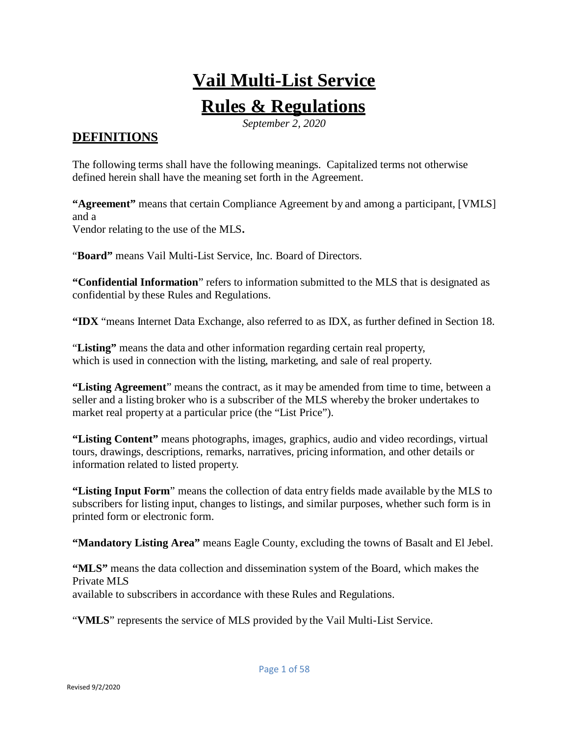# **Vail Multi-List Service**

# **Rules & Regulations**

*September 2, 2020*

# **DEFINITIONS**

The following terms shall have the following meanings. Capitalized terms not otherwise defined herein shall have the meaning set forth in the Agreement.

**"Agreement"** means that certain Compliance Agreement by and among a participant, [VMLS] and a Vendor relating to the use of the MLS**.**

"**Board"** means Vail Multi-List Service, Inc. Board of Directors.

**"Confidential Information**" refers to information submitted to the MLS that is designated as confidential by these Rules and Regulations.

**"IDX** "means Internet Data Exchange, also referred to as IDX, as further defined in Section 18.

"**Listing"** means the data and other information regarding certain real property, which is used in connection with the listing, marketing, and sale of real property.

**"Listing Agreement**" means the contract, as it may be amended from time to time, between a seller and a listing broker who is a subscriber of the MLS whereby the broker undertakes to market real property at a particular price (the "List Price").

**"Listing Content"** means photographs, images, graphics, audio and video recordings, virtual tours, drawings, descriptions, remarks, narratives, pricing information, and other details or information related to listed property.

**"Listing Input Form**" means the collection of data entry fields made available by the MLS to subscribers for listing input, changes to listings, and similar purposes, whether such form is in printed form or electronic form.

**"Mandatory Listing Area"** means Eagle County, excluding the towns of Basalt and El Jebel.

**"MLS"** means the data collection and dissemination system of the Board, which makes the Private MLS available to subscribers in accordance with these Rules and Regulations.

"**VMLS**" represents the service of MLS provided by the Vail Multi-List Service.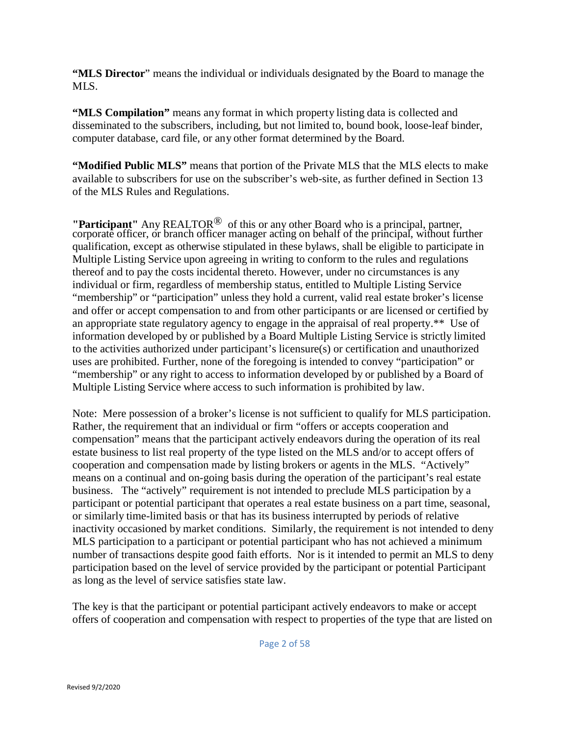**"MLS Director**" means the individual or individuals designated by the Board to manage the MLS.

**"MLS Compilation"** means any format in which property listing data is collected and disseminated to the subscribers, including, but not limited to, bound book, loose-leaf binder, computer database, card file, or any other format determined by the Board.

**"Modified Public MLS"** means that portion of the Private MLS that the MLS elects to make available to subscribers for use on the subscriber's web-site, as further defined in Section 13 of the MLS Rules and Regulations.

**"Participant"** Any REALTOR® of this or any other Board who is a principal, partner, corporate officer, or branch officer manager acting on behalf of the principal, without further qualification, except as otherwise stipulated in these bylaws, shall be eligible to participate in Multiple Listing Service upon agreeing in writing to conform to the rules and regulations thereof and to pay the costs incidental thereto. However, under no circumstances is any individual or firm, regardless of membership status, entitled to Multiple Listing Service "membership" or "participation" unless they hold a current, valid real estate broker's license and offer or accept compensation to and from other participants or are licensed or certified by an appropriate state regulatory agency to engage in the appraisal of real property.\*\* Use of information developed by or published by a Board Multiple Listing Service is strictly limited to the activities authorized under participant's licensure(s) or certification and unauthorized uses are prohibited. Further, none of the foregoing is intended to convey "participation" or "membership" or any right to access to information developed by or published by a Board of Multiple Listing Service where access to such information is prohibited by law.

Note: Mere possession of a broker's license is not sufficient to qualify for MLS participation. Rather, the requirement that an individual or firm "offers or accepts cooperation and compensation" means that the participant actively endeavors during the operation of its real estate business to list real property of the type listed on the MLS and/or to accept offers of cooperation and compensation made by listing brokers or agents in the MLS. "Actively" means on a continual and on-going basis during the operation of the participant's real estate business. The "actively" requirement is not intended to preclude MLS participation by a participant or potential participant that operates a real estate business on a part time, seasonal, or similarly time-limited basis or that has its business interrupted by periods of relative inactivity occasioned by market conditions. Similarly, the requirement is not intended to deny MLS participation to a participant or potential participant who has not achieved a minimum number of transactions despite good faith efforts. Nor is it intended to permit an MLS to deny participation based on the level of service provided by the participant or potential Participant as long as the level of service satisfies state law.

The key is that the participant or potential participant actively endeavors to make or accept offers of cooperation and compensation with respect to properties of the type that are listed on

Page 2 of 58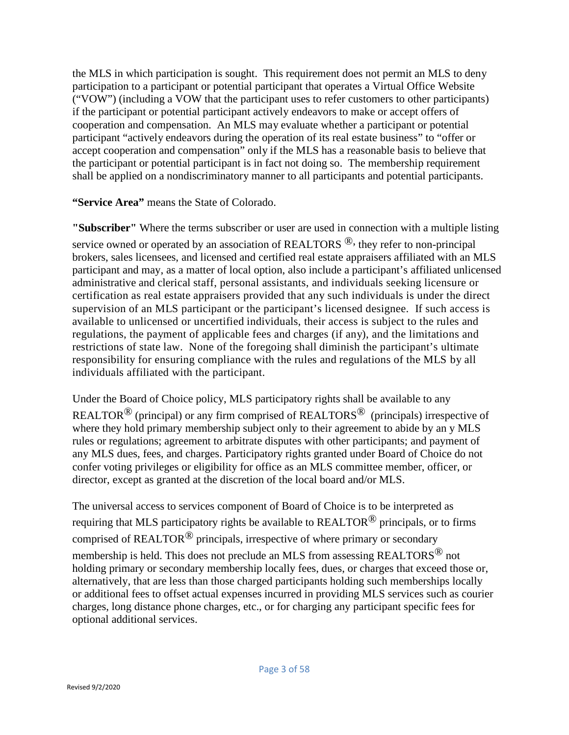the MLS in which participation is sought. This requirement does not permit an MLS to deny participation to a participant or potential participant that operates a Virtual Office Website ("VOW") (including a VOW that the participant uses to refer customers to other participants) if the participant or potential participant actively endeavors to make or accept offers of cooperation and compensation. An MLS may evaluate whether a participant or potential participant "actively endeavors during the operation of its real estate business" to "offer or accept cooperation and compensation" only if the MLS has a reasonable basis to believe that the participant or potential participant is in fact not doing so. The membership requirement shall be applied on a nondiscriminatory manner to all participants and potential participants.

**"Service Area"** means the State of Colorado.

**"Subscriber"** Where the terms subscriber or user are used in connection with a multiple listing service owned or operated by an association of REALTORS  $\mathcal{B}$ , they refer to non-principal brokers, sales licensees, and licensed and certified real estate appraisers affiliated with an MLS participant and may, as a matter of local option, also include a participant's affiliated unlicensed administrative and clerical staff, personal assistants, and individuals seeking licensure or certification as real estate appraisers provided that any such individuals is under the direct supervision of an MLS participant or the participant's licensed designee. If such access is available to unlicensed or uncertified individuals, their access is subject to the rules and regulations, the payment of applicable fees and charges (if any), and the limitations and restrictions of state law. None of the foregoing shall diminish the participant's ultimate responsibility for ensuring compliance with the rules and regulations of the MLS by all individuals affiliated with the participant.

Under the Board of Choice policy, MLS participatory rights shall be available to any REALTOR<sup>®</sup> (principal) or any firm comprised of REALTORS<sup>®</sup> (principals) irrespective of where they hold primary membership subject only to their agreement to abide by an y MLS rules or regulations; agreement to arbitrate disputes with other participants; and payment of any MLS dues, fees, and charges. Participatory rights granted under Board of Choice do not confer voting privileges or eligibility for office as an MLS committee member, officer, or director, except as granted at the discretion of the local board and/or MLS.

The universal access to services component of Board of Choice is to be interpreted as requiring that MLS participatory rights be available to REALTOR<sup>®</sup> principals, or to firms comprised of REALTOR $^{\circledR}$  principals, irrespective of where primary or secondary membership is held. This does not preclude an MLS from assessing REALTORS® not holding primary or secondary membership locally fees, dues, or charges that exceed those or, alternatively, that are less than those charged participants holding such memberships locally or additional fees to offset actual expenses incurred in providing MLS services such as courier charges, long distance phone charges, etc., or for charging any participant specific fees for optional additional services.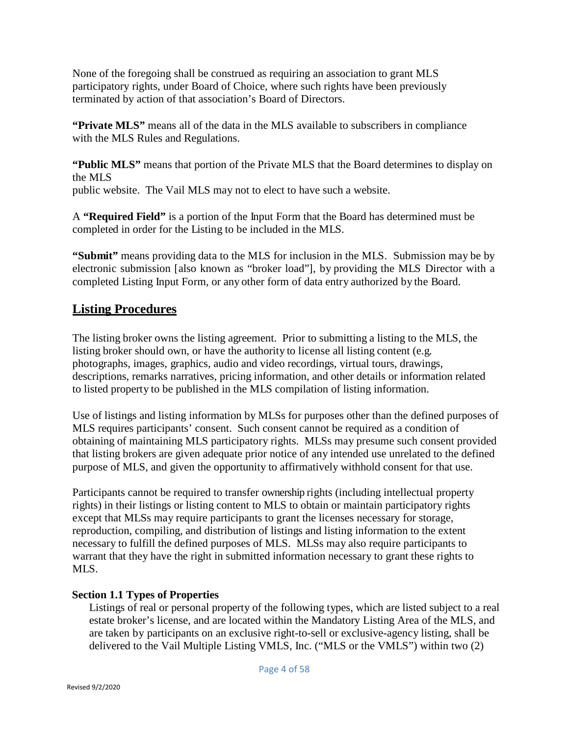None of the foregoing shall be construed as requiring an association to grant MLS participatory rights, under Board of Choice, where such rights have been previously terminated by action of that association's Board of Directors.

**"Private MLS"** means all of the data in the MLS available to subscribers in compliance with the MLS Rules and Regulations.

**"Public MLS"** means that portion of the Private MLS that the Board determines to display on the MLS

public website. The Vail MLS may not to elect to have such a website.

A **"Required Field"** is a portion of the Input Form that the Board has determined must be completed in order for the Listing to be included in the MLS.

**"Submit"** means providing data to the MLS for inclusion in the MLS. Submission may be by electronic submission [also known as "broker load"], by providing the MLS Director with a completed Listing Input Form, or any other form of data entry authorized by the Board.

# **Listing Procedures**

The listing broker owns the listing agreement. Prior to submitting a listing to the MLS, the listing broker should own, or have the authority to license all listing content (e.g. photographs, images, graphics, audio and video recordings, virtual tours, drawings, descriptions, remarks narratives, pricing information, and other details or information related to listed property to be published in the MLS compilation of listing information.

Use of listings and listing information by MLSs for purposes other than the defined purposes of MLS requires participants' consent. Such consent cannot be required as a condition of obtaining of maintaining MLS participatory rights. MLSs may presume such consent provided that listing brokers are given adequate prior notice of any intended use unrelated to the defined purpose of MLS, and given the opportunity to affirmatively withhold consent for that use.

Participants cannot be required to transfer ownership rights (including intellectual property rights) in their listings or listing content to MLS to obtain or maintain participatory rights except that MLSs may require participants to grant the licenses necessary for storage, reproduction, compiling, and distribution of listings and listing information to the extent necessary to fulfill the defined purposes of MLS. MLSs may also require participants to warrant that they have the right in submitted information necessary to grant these rights to MLS.

# **Section 1.1 Types of Properties**

Listings of real or personal property of the following types, which are listed subject to a real estate broker's license, and are located within the Mandatory Listing Area of the MLS, and are taken by participants on an exclusive right-to-sell or exclusive-agency listing, shall be delivered to the Vail Multiple Listing VMLS, Inc. ("MLS or the VMLS") within two (2)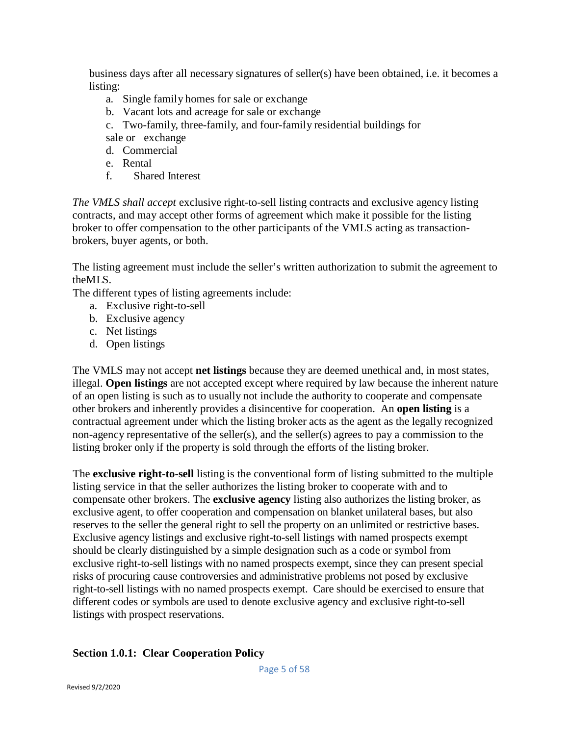business days after all necessary signatures of seller(s) have been obtained, i.e. it becomes a listing:

- a. Single family homes for sale or exchange
- b. Vacant lots and acreage for sale or exchange
- c. Two-family, three-family, and four-family residential buildings for
- sale or exchange
- d. Commercial
- e. Rental
- f. Shared Interest

*The VMLS shall accept* exclusive right-to-sell listing contracts and exclusive agency listing contracts, and may accept other forms of agreement which make it possible for the listing broker to offer compensation to the other participants of the VMLS acting as transactionbrokers, buyer agents, or both.

The listing agreement must include the seller's written authorization to submit the agreement to theMLS.

The different types of listing agreements include:

- a. Exclusive right-to-sell
- b. Exclusive agency
- c. Net listings
- d. Open listings

The VMLS may not accept **net listings** because they are deemed unethical and, in most states, illegal. **Open listings** are not accepted except where required by law because the inherent nature of an open listing is such as to usually not include the authority to cooperate and compensate other brokers and inherently provides a disincentive for cooperation. An **open listing** is a contractual agreement under which the listing broker acts as the agent as the legally recognized non-agency representative of the seller(s), and the seller(s) agrees to pay a commission to the listing broker only if the property is sold through the efforts of the listing broker.

The **exclusive right-to-sell** listing is the conventional form of listing submitted to the multiple listing service in that the seller authorizes the listing broker to cooperate with and to compensate other brokers. The **exclusive agency** listing also authorizes the listing broker, as exclusive agent, to offer cooperation and compensation on blanket unilateral bases, but also reserves to the seller the general right to sell the property on an unlimited or restrictive bases. Exclusive agency listings and exclusive right-to-sell listings with named prospects exempt should be clearly distinguished by a simple designation such as a code or symbol from exclusive right-to-sell listings with no named prospects exempt, since they can present special risks of procuring cause controversies and administrative problems not posed by exclusive right-to-sell listings with no named prospects exempt. Care should be exercised to ensure that different codes or symbols are used to denote exclusive agency and exclusive right-to-sell listings with prospect reservations.

## **Section 1.0.1: Clear Cooperation Policy**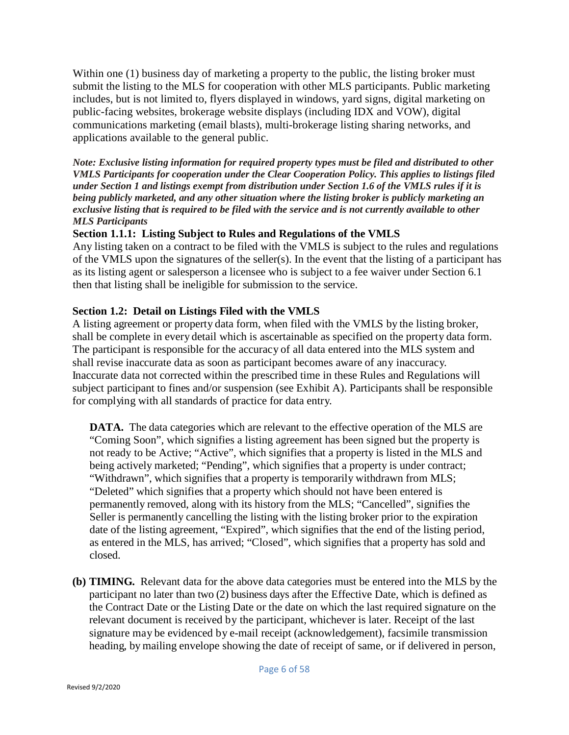Within one (1) business day of marketing a property to the public, the listing broker must submit the listing to the MLS for cooperation with other MLS participants. Public marketing includes, but is not limited to, flyers displayed in windows, yard signs, digital marketing on public-facing websites, brokerage website displays (including IDX and VOW), digital communications marketing (email blasts), multi-brokerage listing sharing networks, and applications available to the general public.

*Note: Exclusive listing information for required property types must be filed and distributed to other VMLS Participants for cooperation under the Clear Cooperation Policy. This applies to listings filed under Section 1 and listings exempt from distribution under Section 1.6 of the VMLS rules if it is being publicly marketed, and any other situation where the listing broker is publicly marketing an exclusive listing that is required to be filed with the service and is not currently available to other MLS Participants*

## **Section 1.1.1: Listing Subject to Rules and Regulations of the VMLS**

Any listing taken on a contract to be filed with the VMLS is subject to the rules and regulations of the VMLS upon the signatures of the seller(s). In the event that the listing of a participant has as its listing agent or salesperson a licensee who is subject to a fee waiver under Section 6.1 then that listing shall be ineligible for submission to the service.

# **Section 1.2: Detail on Listings Filed with the VMLS**

A listing agreement or property data form, when filed with the VMLS by the listing broker, shall be complete in every detail which is ascertainable as specified on the property data form. The participant is responsible for the accuracy of all data entered into the MLS system and shall revise inaccurate data as soon as participant becomes aware of any inaccuracy. Inaccurate data not corrected within the prescribed time in these Rules and Regulations will subject participant to fines and/or suspension (see Exhibit A). Participants shall be responsible for complying with all standards of practice for data entry.

**DATA.** The data categories which are relevant to the effective operation of the MLS are "Coming Soon", which signifies a listing agreement has been signed but the property is not ready to be Active; "Active", which signifies that a property is listed in the MLS and being actively marketed; "Pending", which signifies that a property is under contract; "Withdrawn", which signifies that a property is temporarily withdrawn from MLS; "Deleted" which signifies that a property which should not have been entered is permanently removed, along with its history from the MLS; "Cancelled", signifies the Seller is permanently cancelling the listing with the listing broker prior to the expiration date of the listing agreement, "Expired", which signifies that the end of the listing period, as entered in the MLS, has arrived; "Closed", which signifies that a property has sold and closed.

**(b) TIMING.** Relevant data for the above data categories must be entered into the MLS by the participant no later than two (2) business days after the Effective Date, which is defined as the Contract Date or the Listing Date or the date on which the last required signature on the relevant document is received by the participant, whichever is later. Receipt of the last signature may be evidenced by e-mail receipt (acknowledgement), facsimile transmission heading, by mailing envelope showing the date of receipt of same, or if delivered in person,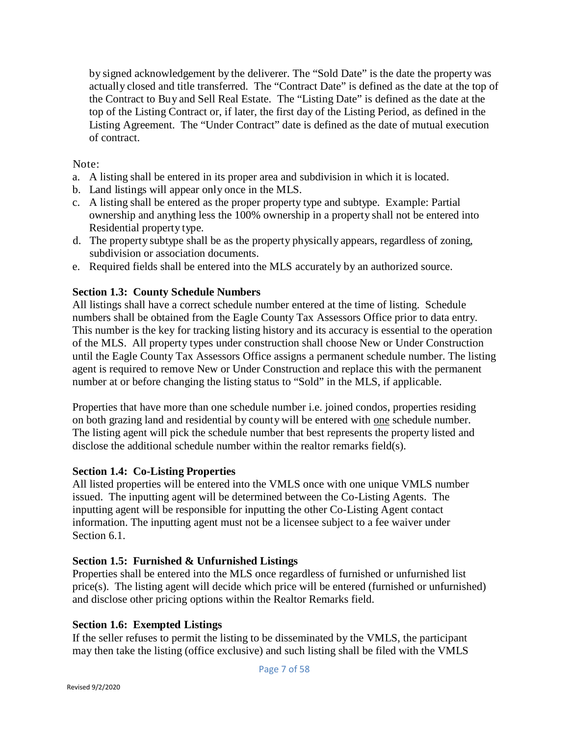by signed acknowledgement by the deliverer. The "Sold Date" is the date the property was actually closed and title transferred. The "Contract Date" is defined as the date at the top of the Contract to Buy and Sell Real Estate. The "Listing Date" is defined as the date at the top of the Listing Contract or, if later, the first day of the Listing Period, as defined in the Listing Agreement. The "Under Contract" date is defined as the date of mutual execution of contract.

## Note:

- a. A listing shall be entered in its proper area and subdivision in which it is located.
- b. Land listings will appear only once in the MLS.
- c. A listing shall be entered as the proper property type and subtype. Example: Partial ownership and anything less the 100% ownership in a property shall not be entered into Residential property type.
- d. The property subtype shall be as the property physically appears, regardless of zoning, subdivision or association documents.
- e. Required fields shall be entered into the MLS accurately by an authorized source.

## **Section 1.3: County Schedule Numbers**

All listings shall have a correct schedule number entered at the time of listing. Schedule numbers shall be obtained from the Eagle County Tax Assessors Office prior to data entry. This number is the key for tracking listing history and its accuracy is essential to the operation of the MLS. All property types under construction shall choose New or Under Construction until the Eagle County Tax Assessors Office assigns a permanent schedule number. The listing agent is required to remove New or Under Construction and replace this with the permanent number at or before changing the listing status to "Sold" in the MLS, if applicable.

Properties that have more than one schedule number i.e. joined condos, properties residing on both grazing land and residential by county will be entered with one schedule number. The listing agent will pick the schedule number that best represents the property listed and disclose the additional schedule number within the realtor remarks field(s).

## **Section 1.4: Co-Listing Properties**

All listed properties will be entered into the VMLS once with one unique VMLS number issued. The inputting agent will be determined between the Co-Listing Agents. The inputting agent will be responsible for inputting the other Co-Listing Agent contact information. The inputting agent must not be a licensee subject to a fee waiver under Section 6.1.

# **Section 1.5: Furnished & Unfurnished Listings**

Properties shall be entered into the MLS once regardless of furnished or unfurnished list  $price(s)$ . The listing agent will decide which price will be entered (furnished or unfurnished) and disclose other pricing options within the Realtor Remarks field.

# **Section 1.6: Exempted Listings**

If the seller refuses to permit the listing to be disseminated by the VMLS, the participant may then take the listing (office exclusive) and such listing shall be filed with the VMLS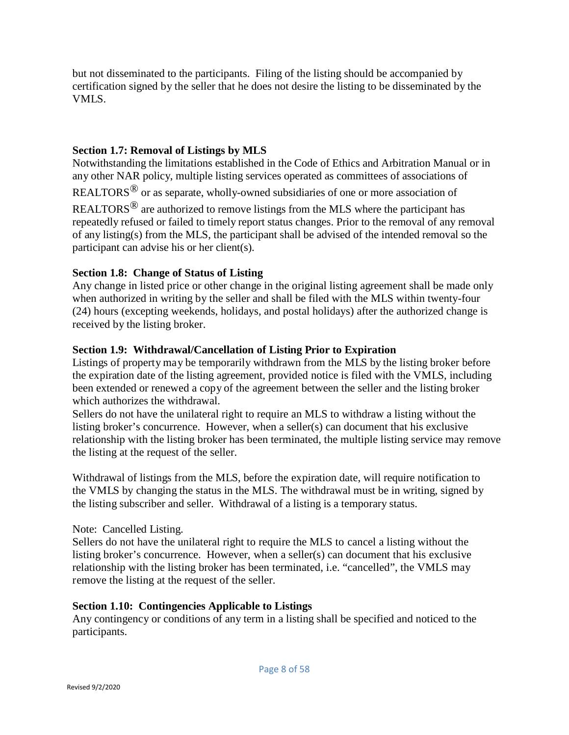but not disseminated to the participants. Filing of the listing should be accompanied by certification signed by the seller that he does not desire the listing to be disseminated by the VMLS.

## **Section 1.7: Removal of Listings by MLS**

Notwithstanding the limitations established in the Code of Ethics and Arbitration Manual or in any other NAR policy, multiple listing services operated as committees of associations of

REALTORS® or as separate, wholly-owned subsidiaries of one or more association of

REALTORS® are authorized to remove listings from the MLS where the participant has repeatedly refused or failed to timely report status changes. Prior to the removal of any removal of any listing(s) from the MLS, the participant shall be advised of the intended removal so the participant can advise his or her client(s).

## **Section 1.8: Change of Status of Listing**

Any change in listed price or other change in the original listing agreement shall be made only when authorized in writing by the seller and shall be filed with the MLS within twenty-four (24) hours (excepting weekends, holidays, and postal holidays) after the authorized change is received by the listing broker.

## **Section 1.9: Withdrawal/Cancellation of Listing Prior to Expiration**

Listings of property may be temporarily withdrawn from the MLS by the listing broker before the expiration date of the listing agreement, provided notice is filed with the VMLS, including been extended or renewed a copy of the agreement between the seller and the listing broker which authorizes the withdrawal.

Sellers do not have the unilateral right to require an MLS to withdraw a listing without the listing broker's concurrence. However, when a seller(s) can document that his exclusive relationship with the listing broker has been terminated, the multiple listing service may remove the listing at the request of the seller.

Withdrawal of listings from the MLS, before the expiration date, will require notification to the VMLS by changing the status in the MLS. The withdrawal must be in writing, signed by the listing subscriber and seller. Withdrawal of a listing is a temporary status.

Note: Cancelled Listing.

Sellers do not have the unilateral right to require the MLS to cancel a listing without the listing broker's concurrence. However, when a seller(s) can document that his exclusive relationship with the listing broker has been terminated, i.e. "cancelled", the VMLS may remove the listing at the request of the seller.

## **Section 1.10: Contingencies Applicable to Listings**

Any contingency or conditions of any term in a listing shall be specified and noticed to the participants.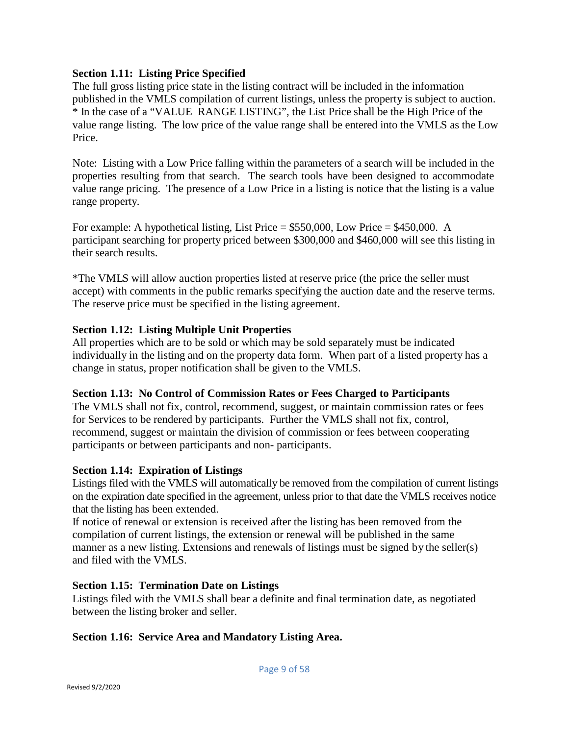## **Section 1.11: Listing Price Specified**

The full gross listing price state in the listing contract will be included in the information published in the VMLS compilation of current listings, unless the property is subject to auction. \* In the case of a "VALUE RANGE LISTING", the List Price shall be the High Price of the value range listing. The low price of the value range shall be entered into the VMLS as the Low Price.

Note: Listing with a Low Price falling within the parameters of a search will be included in the properties resulting from that search. The search tools have been designed to accommodate value range pricing. The presence of a Low Price in a listing is notice that the listing is a value range property.

For example: A hypothetical listing, List Price = \$550,000, Low Price = \$450,000. A participant searching for property priced between \$300,000 and \$460,000 will see this listing in their search results.

\*The VMLS will allow auction properties listed at reserve price (the price the seller must accept) with comments in the public remarks specifying the auction date and the reserve terms. The reserve price must be specified in the listing agreement.

# **Section 1.12: Listing Multiple Unit Properties**

All properties which are to be sold or which may be sold separately must be indicated individually in the listing and on the property data form. When part of a listed property has a change in status, proper notification shall be given to the VMLS.

# **Section 1.13: No Control of Commission Rates or Fees Charged to Participants**

The VMLS shall not fix, control, recommend, suggest, or maintain commission rates or fees for Services to be rendered by participants. Further the VMLS shall not fix, control, recommend, suggest or maintain the division of commission or fees between cooperating participants or between participants and non- participants.

# **Section 1.14: Expiration of Listings**

Listings filed with the VMLS will automatically be removed from the compilation of current listings on the expiration date specified in the agreement, unless prior to that date the VMLS receives notice that the listing has been extended.

If notice of renewal or extension is received after the listing has been removed from the compilation of current listings, the extension or renewal will be published in the same manner as a new listing. Extensions and renewals of listings must be signed by the seller(s) and filed with the VMLS.

# **Section 1.15: Termination Date on Listings**

Listings filed with the VMLS shall bear a definite and final termination date, as negotiated between the listing broker and seller.

# **Section 1.16: Service Area and Mandatory Listing Area.**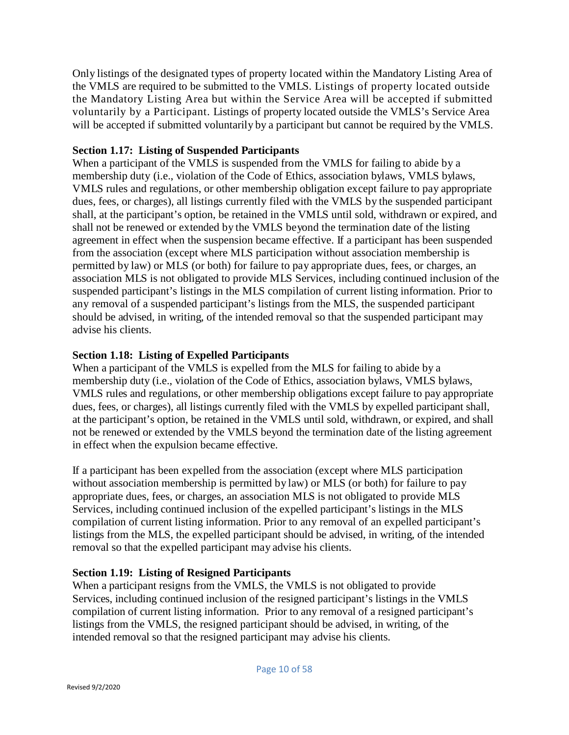Only listings of the designated types of property located within the Mandatory Listing Area of the VMLS are required to be submitted to the VMLS. Listings of property located outside the Mandatory Listing Area but within the Service Area will be accepted if submitted voluntarily by a Participant. Listings of property located outside the VMLS's Service Area will be accepted if submitted voluntarily by a participant but cannot be required by the VMLS.

## **Section 1.17: Listing of Suspended Participants**

When a participant of the VMLS is suspended from the VMLS for failing to abide by a membership duty (i.e., violation of the Code of Ethics, association bylaws, VMLS bylaws, VMLS rules and regulations, or other membership obligation except failure to pay appropriate dues, fees, or charges), all listings currently filed with the VMLS by the suspended participant shall, at the participant's option, be retained in the VMLS until sold, withdrawn or expired, and shall not be renewed or extended by the VMLS beyond the termination date of the listing agreement in effect when the suspension became effective. If a participant has been suspended from the association (except where MLS participation without association membership is permitted by law) or MLS (or both) for failure to pay appropriate dues, fees, or charges, an association MLS is not obligated to provide MLS Services, including continued inclusion of the suspended participant's listings in the MLS compilation of current listing information. Prior to any removal of a suspended participant's listings from the MLS, the suspended participant should be advised, in writing, of the intended removal so that the suspended participant may advise his clients.

## **Section 1.18: Listing of Expelled Participants**

When a participant of the VMLS is expelled from the MLS for failing to abide by a membership duty (i.e., violation of the Code of Ethics, association bylaws, VMLS bylaws, VMLS rules and regulations, or other membership obligations except failure to pay appropriate dues, fees, or charges), all listings currently filed with the VMLS by expelled participant shall, at the participant's option, be retained in the VMLS until sold, withdrawn, or expired, and shall not be renewed or extended by the VMLS beyond the termination date of the listing agreement in effect when the expulsion became effective.

If a participant has been expelled from the association (except where MLS participation without association membership is permitted by law) or MLS (or both) for failure to pay appropriate dues, fees, or charges, an association MLS is not obligated to provide MLS Services, including continued inclusion of the expelled participant's listings in the MLS compilation of current listing information. Prior to any removal of an expelled participant's listings from the MLS, the expelled participant should be advised, in writing, of the intended removal so that the expelled participant may advise his clients.

## **Section 1.19: Listing of Resigned Participants**

When a participant resigns from the VMLS, the VMLS is not obligated to provide Services, including continued inclusion of the resigned participant's listings in the VMLS compilation of current listing information. Prior to any removal of a resigned participant's listings from the VMLS, the resigned participant should be advised, in writing, of the intended removal so that the resigned participant may advise his clients.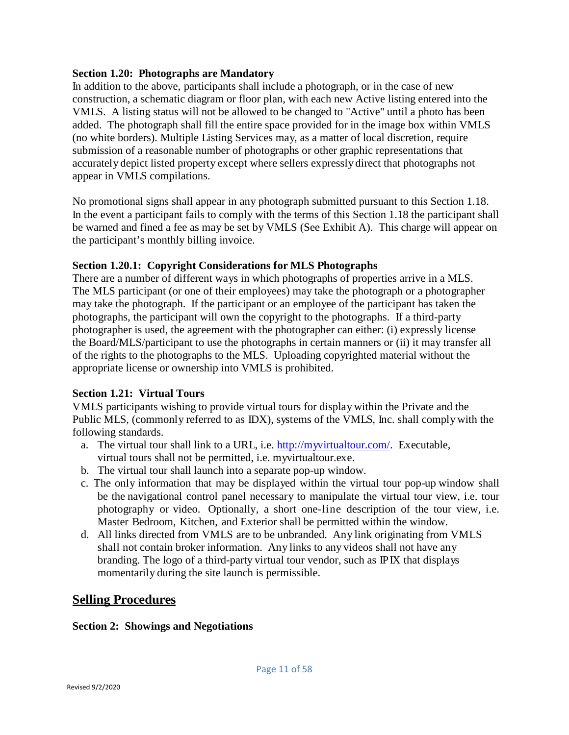## **Section 1.20: Photographs are Mandatory**

In addition to the above, participants shall include a photograph, or in the case of new construction, a schematic diagram or floor plan, with each new Active listing entered into the VMLS. A listing status will not be allowed to be changed to "Active" until a photo has been added. The photograph shall fill the entire space provided for in the image box within VMLS (no white borders). Multiple Listing Services may, as a matter of local discretion, require submission of a reasonable number of photographs or other graphic representations that accurately depict listed property except where sellers expressly direct that photographs not appear in VMLS compilations.

No promotional signs shall appear in any photograph submitted pursuant to this Section 1.18. In the event a participant fails to comply with the terms of this Section 1.18 the participant shall be warned and fined a fee as may be set by VMLS (See Exhibit A). This charge will appear on the participant's monthly billing invoice.

## **Section 1.20.1: Copyright Considerations for MLS Photographs**

There are a number of different ways in which photographs of properties arrive in a MLS. The MLS participant (or one of their employees) may take the photograph or a photographer may take the photograph. If the participant or an employee of the participant has taken the photographs, the participant will own the copyright to the photographs. If a third-party photographer is used, the agreement with the photographer can either: (i) expressly license the Board/MLS/participant to use the photographs in certain manners or (ii) it may transfer all of the rights to the photographs to the MLS. Uploading copyrighted material without the appropriate license or ownership into VMLS is prohibited.

## **Section 1.21: Virtual Tours**

VMLS participants wishing to provide virtual tours for display within the Private and the Public MLS, (commonly referred to as IDX), systems of the VMLS, Inc. shall comply with the following standards.

- a. The virtual tour shall link to a URL, i.e. [http://myvirtualtour.com/.](http://myvirtualtour.com/) Executable, virtual tours shall not be permitted, i.e. myvirtualtour.exe.
- b. The virtual tour shall launch into a separate pop-up window.
- c. The only information that may be displayed within the virtual tour pop-up window shall be the navigational control panel necessary to manipulate the virtual tour view, i.e. tour photography or video. Optionally, a short one-line description of the tour view, i.e. Master Bedroom, Kitchen, and Exterior shall be permitted within the window.
- d. All links directed from VMLS are to be unbranded. Any link originating from VMLS shall not contain broker information. Any links to any videos shall not have any branding. The logo of a third-party virtual tour vendor, such as IPIX that displays momentarily during the site launch is permissible.

# **Selling Procedures**

#### **Section 2: Showings and Negotiations**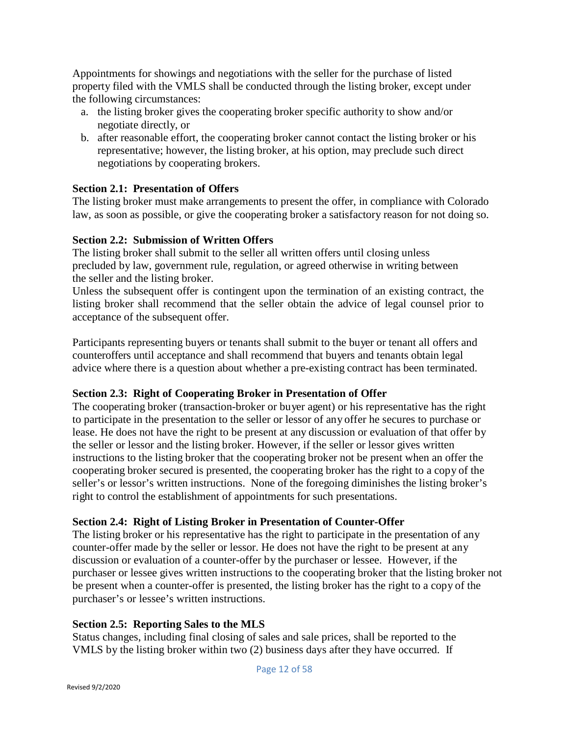Appointments for showings and negotiations with the seller for the purchase of listed property filed with the VMLS shall be conducted through the listing broker, except under the following circumstances:

- a. the listing broker gives the cooperating broker specific authority to show and/or negotiate directly, or
- b. after reasonable effort, the cooperating broker cannot contact the listing broker or his representative; however, the listing broker, at his option, may preclude such direct negotiations by cooperating brokers.

## **Section 2.1: Presentation of Offers**

The listing broker must make arrangements to present the offer, in compliance with Colorado law, as soon as possible, or give the cooperating broker a satisfactory reason for not doing so.

## **Section 2.2: Submission of Written Offers**

The listing broker shall submit to the seller all written offers until closing unless precluded by law, government rule, regulation, or agreed otherwise in writing between the seller and the listing broker.

Unless the subsequent offer is contingent upon the termination of an existing contract, the listing broker shall recommend that the seller obtain the advice of legal counsel prior to acceptance of the subsequent offer.

Participants representing buyers or tenants shall submit to the buyer or tenant all offers and counteroffers until acceptance and shall recommend that buyers and tenants obtain legal advice where there is a question about whether a pre-existing contract has been terminated.

## **Section 2.3: Right of Cooperating Broker in Presentation of Offer**

The cooperating broker (transaction-broker or buyer agent) or his representative has the right to participate in the presentation to the seller or lessor of any offer he secures to purchase or lease. He does not have the right to be present at any discussion or evaluation of that offer by the seller or lessor and the listing broker. However, if the seller or lessor gives written instructions to the listing broker that the cooperating broker not be present when an offer the cooperating broker secured is presented, the cooperating broker has the right to a copy of the seller's or lessor's written instructions. None of the foregoing diminishes the listing broker's right to control the establishment of appointments for such presentations.

## **Section 2.4: Right of Listing Broker in Presentation of Counter-Offer**

The listing broker or his representative has the right to participate in the presentation of any counter-offer made by the seller or lessor. He does not have the right to be present at any discussion or evaluation of a counter-offer by the purchaser or lessee. However, if the purchaser or lessee gives written instructions to the cooperating broker that the listing broker not be present when a counter-offer is presented, the listing broker has the right to a copy of the purchaser's or lessee's written instructions.

## **Section 2.5: Reporting Sales to the MLS**

Status changes, including final closing of sales and sale prices, shall be reported to the VMLS by the listing broker within two (2) business days after they have occurred. If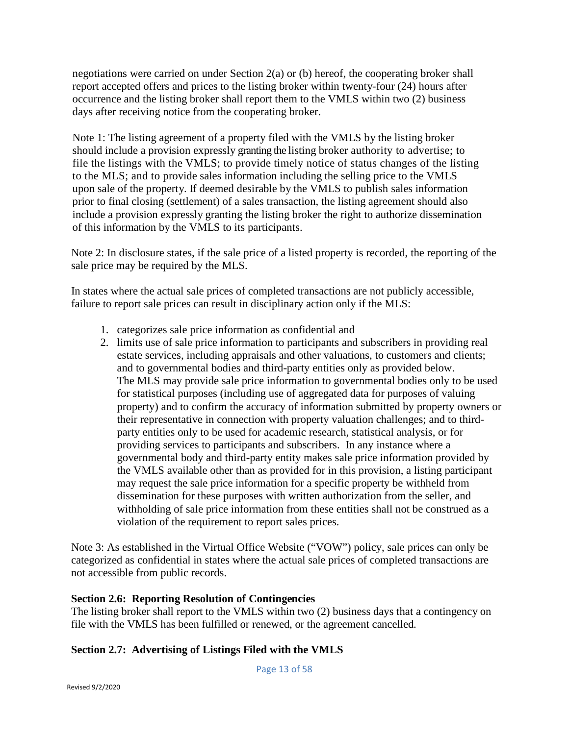negotiations were carried on under Section 2(a) or (b) hereof, the cooperating broker shall report accepted offers and prices to the listing broker within twenty-four (24) hours after occurrence and the listing broker shall report them to the VMLS within two (2) business days after receiving notice from the cooperating broker.

Note 1: The listing agreement of a property filed with the VMLS by the listing broker should include a provision expressly granting the listing broker authority to advertise; to file the listings with the VMLS; to provide timely notice of status changes of the listing to the MLS; and to provide sales information including the selling price to the VMLS upon sale of the property. If deemed desirable by the VMLS to publish sales information prior to final closing (settlement) of a sales transaction, the listing agreement should also include a provision expressly granting the listing broker the right to authorize dissemination of this information by the VMLS to its participants.

Note 2: In disclosure states, if the sale price of a listed property is recorded, the reporting of the sale price may be required by the MLS.

In states where the actual sale prices of completed transactions are not publicly accessible, failure to report sale prices can result in disciplinary action only if the MLS:

- 1. categorizes sale price information as confidential and
- 2. limits use of sale price information to participants and subscribers in providing real estate services, including appraisals and other valuations, to customers and clients; and to governmental bodies and third-party entities only as provided below. The MLS may provide sale price information to governmental bodies only to be used for statistical purposes (including use of aggregated data for purposes of valuing property) and to confirm the accuracy of information submitted by property owners or their representative in connection with property valuation challenges; and to thirdparty entities only to be used for academic research, statistical analysis, or for providing services to participants and subscribers. In any instance where a governmental body and third-party entity makes sale price information provided by the VMLS available other than as provided for in this provision, a listing participant may request the sale price information for a specific property be withheld from dissemination for these purposes with written authorization from the seller, and withholding of sale price information from these entities shall not be construed as a violation of the requirement to report sales prices.

Note 3: As established in the Virtual Office Website ("VOW") policy, sale prices can only be categorized as confidential in states where the actual sale prices of completed transactions are not accessible from public records.

## **Section 2.6: Reporting Resolution of Contingencies**

The listing broker shall report to the VMLS within two (2) business days that a contingency on file with the VMLS has been fulfilled or renewed, or the agreement cancelled.

# **Section 2.7: Advertising of Listings Filed with the VMLS**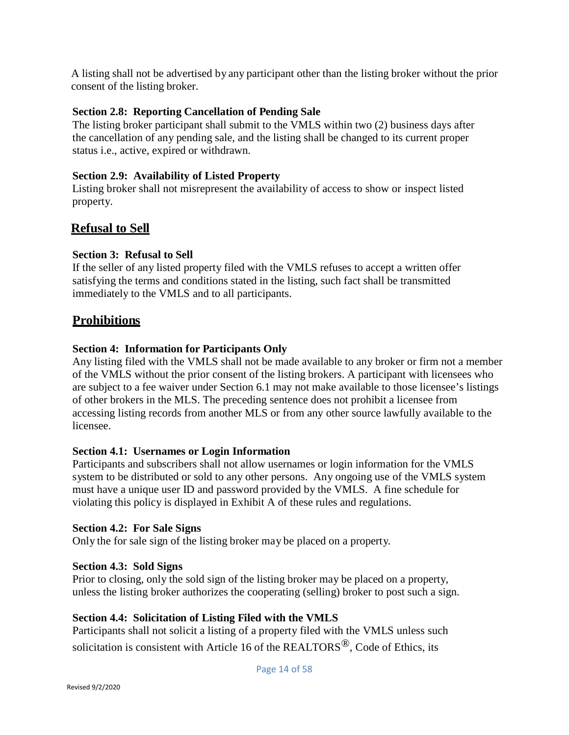A listing shall not be advertised by any participant other than the listing broker without the prior consent of the listing broker.

## **Section 2.8: Reporting Cancellation of Pending Sale**

The listing broker participant shall submit to the VMLS within two (2) business days after the cancellation of any pending sale, and the listing shall be changed to its current proper status i.e., active, expired or withdrawn.

## **Section 2.9: Availability of Listed Property**

Listing broker shall not misrepresent the availability of access to show or inspect listed property.

# **Refusal to Sell**

## **Section 3: Refusal to Sell**

If the seller of any listed property filed with the VMLS refuses to accept a written offer satisfying the terms and conditions stated in the listing, such fact shall be transmitted immediately to the VMLS and to all participants.

# **Prohibitions**

## **Section 4: Information for Participants Only**

Any listing filed with the VMLS shall not be made available to any broker or firm not a member of the VMLS without the prior consent of the listing brokers. A participant with licensees who are subject to a fee waiver under Section 6.1 may not make available to those licensee's listings of other brokers in the MLS. The preceding sentence does not prohibit a licensee from accessing listing records from another MLS or from any other source lawfully available to the licensee.

## **Section 4.1: Usernames or Login Information**

Participants and subscribers shall not allow usernames or login information for the VMLS system to be distributed or sold to any other persons. Any ongoing use of the VMLS system must have a unique user ID and password provided by the VMLS. A fine schedule for violating this policy is displayed in Exhibit A of these rules and regulations.

## **Section 4.2: For Sale Signs**

Only the for sale sign of the listing broker may be placed on a property.

## **Section 4.3: Sold Signs**

Prior to closing, only the sold sign of the listing broker may be placed on a property, unless the listing broker authorizes the cooperating (selling) broker to post such a sign.

## **Section 4.4: Solicitation of Listing Filed with the VMLS**

Participants shall not solicit a listing of a property filed with the VMLS unless such solicitation is consistent with Article 16 of the REALTORS<sup>®</sup>, Code of Ethics, its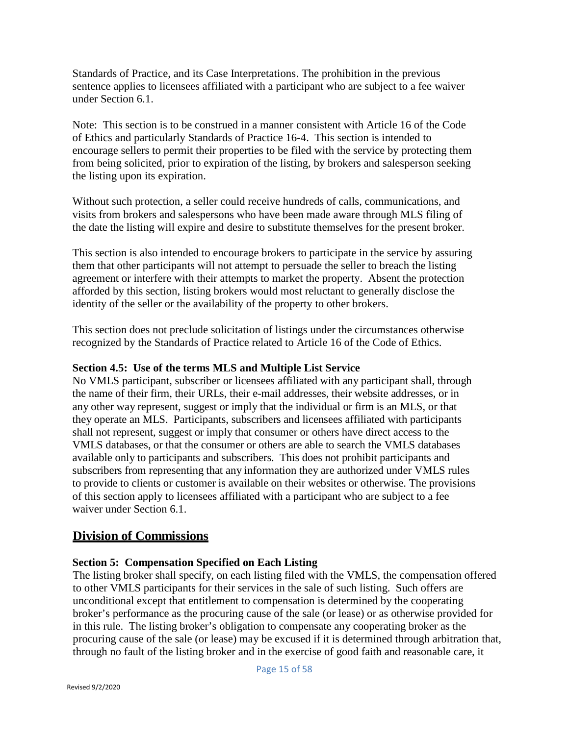Standards of Practice, and its Case Interpretations. The prohibition in the previous sentence applies to licensees affiliated with a participant who are subject to a fee waiver under Section 6.1.

Note: This section is to be construed in a manner consistent with Article 16 of the Code of Ethics and particularly Standards of Practice 16-4. This section is intended to encourage sellers to permit their properties to be filed with the service by protecting them from being solicited, prior to expiration of the listing, by brokers and salesperson seeking the listing upon its expiration.

Without such protection, a seller could receive hundreds of calls, communications, and visits from brokers and salespersons who have been made aware through MLS filing of the date the listing will expire and desire to substitute themselves for the present broker.

This section is also intended to encourage brokers to participate in the service by assuring them that other participants will not attempt to persuade the seller to breach the listing agreement or interfere with their attempts to market the property. Absent the protection afforded by this section, listing brokers would most reluctant to generally disclose the identity of the seller or the availability of the property to other brokers.

This section does not preclude solicitation of listings under the circumstances otherwise recognized by the Standards of Practice related to Article 16 of the Code of Ethics.

## **Section 4.5: Use of the terms MLS and Multiple List Service**

No VMLS participant, subscriber or licensees affiliated with any participant shall, through the name of their firm, their URLs, their e-mail addresses, their website addresses, or in any other way represent, suggest or imply that the individual or firm is an MLS, or that they operate an MLS. Participants, subscribers and licensees affiliated with participants shall not represent, suggest or imply that consumer or others have direct access to the VMLS databases, or that the consumer or others are able to search the VMLS databases available only to participants and subscribers. This does not prohibit participants and subscribers from representing that any information they are authorized under VMLS rules to provide to clients or customer is available on their websites or otherwise. The provisions of this section apply to licensees affiliated with a participant who are subject to a fee waiver under Section 6.1.

# **Division of Commissions**

## **Section 5: Compensation Specified on Each Listing**

The listing broker shall specify, on each listing filed with the VMLS, the compensation offered to other VMLS participants for their services in the sale of such listing. Such offers are unconditional except that entitlement to compensation is determined by the cooperating broker's performance as the procuring cause of the sale (or lease) or as otherwise provided for in this rule. The listing broker's obligation to compensate any cooperating broker as the procuring cause of the sale (or lease) may be excused if it is determined through arbitration that, through no fault of the listing broker and in the exercise of good faith and reasonable care, it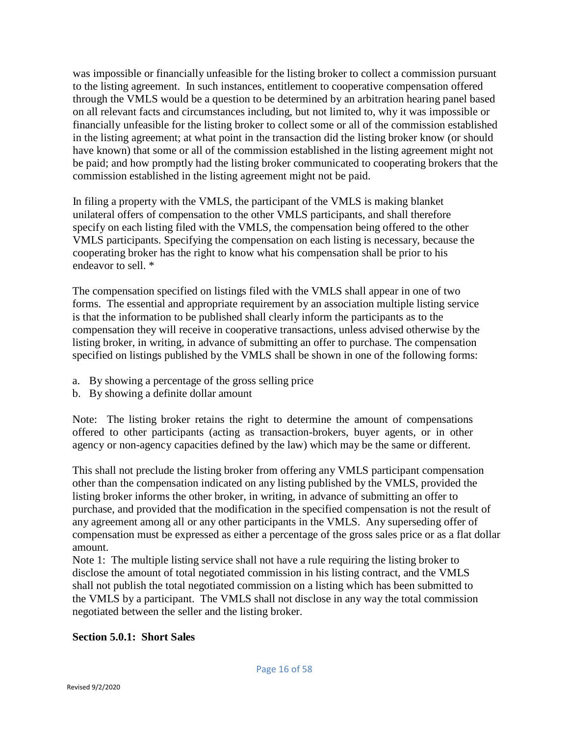was impossible or financially unfeasible for the listing broker to collect a commission pursuant to the listing agreement. In such instances, entitlement to cooperative compensation offered through the VMLS would be a question to be determined by an arbitration hearing panel based on all relevant facts and circumstances including, but not limited to, why it was impossible or financially unfeasible for the listing broker to collect some or all of the commission established in the listing agreement; at what point in the transaction did the listing broker know (or should have known) that some or all of the commission established in the listing agreement might not be paid; and how promptly had the listing broker communicated to cooperating brokers that the commission established in the listing agreement might not be paid.

In filing a property with the VMLS, the participant of the VMLS is making blanket unilateral offers of compensation to the other VMLS participants, and shall therefore specify on each listing filed with the VMLS, the compensation being offered to the other VMLS participants. Specifying the compensation on each listing is necessary, because the cooperating broker has the right to know what his compensation shall be prior to his endeavor to sell. \*

The compensation specified on listings filed with the VMLS shall appear in one of two forms. The essential and appropriate requirement by an association multiple listing service is that the information to be published shall clearly inform the participants as to the compensation they will receive in cooperative transactions, unless advised otherwise by the listing broker, in writing, in advance of submitting an offer to purchase. The compensation specified on listings published by the VMLS shall be shown in one of the following forms:

- a. By showing a percentage of the gross selling price
- b. By showing a definite dollar amount

Note: The listing broker retains the right to determine the amount of compensations offered to other participants (acting as transaction-brokers, buyer agents, or in other agency or non-agency capacities defined by the law) which may be the same or different.

This shall not preclude the listing broker from offering any VMLS participant compensation other than the compensation indicated on any listing published by the VMLS, provided the listing broker informs the other broker, in writing, in advance of submitting an offer to purchase, and provided that the modification in the specified compensation is not the result of any agreement among all or any other participants in the VMLS. Any superseding offer of compensation must be expressed as either a percentage of the gross sales price or as a flat dollar amount.

Note 1: The multiple listing service shall not have a rule requiring the listing broker to disclose the amount of total negotiated commission in his listing contract, and the VMLS shall not publish the total negotiated commission on a listing which has been submitted to the VMLS by a participant. The VMLS shall not disclose in any way the total commission negotiated between the seller and the listing broker.

## **Section 5.0.1: Short Sales**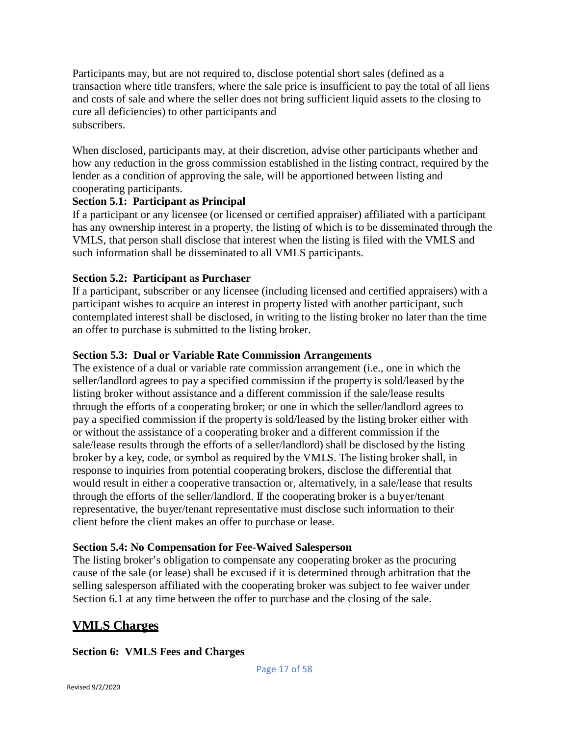Participants may, but are not required to, disclose potential short sales (defined as a transaction where title transfers, where the sale price is insufficient to pay the total of all liens and costs of sale and where the seller does not bring sufficient liquid assets to the closing to cure all deficiencies) to other participants and subscribers.

When disclosed, participants may, at their discretion, advise other participants whether and how any reduction in the gross commission established in the listing contract, required by the lender as a condition of approving the sale, will be apportioned between listing and cooperating participants.

## **Section 5.1: Participant as Principal**

If a participant or any licensee (or licensed or certified appraiser) affiliated with a participant has any ownership interest in a property, the listing of which is to be disseminated through the VMLS, that person shall disclose that interest when the listing is filed with the VMLS and such information shall be disseminated to all VMLS participants.

## **Section 5.2: Participant as Purchaser**

If a participant, subscriber or any licensee (including licensed and certified appraisers) with a participant wishes to acquire an interest in property listed with another participant, such contemplated interest shall be disclosed, in writing to the listing broker no later than the time an offer to purchase is submitted to the listing broker.

## **Section 5.3: Dual or Variable Rate Commission Arrangements**

The existence of a dual or variable rate commission arrangement (i.e., one in which the seller/landlord agrees to pay a specified commission if the property is sold/leased by the listing broker without assistance and a different commission if the sale/lease results through the efforts of a cooperating broker; or one in which the seller/landlord agrees to pay a specified commission if the property is sold/leased by the listing broker either with or without the assistance of a cooperating broker and a different commission if the sale/lease results through the efforts of a seller/landlord) shall be disclosed by the listing broker by a key, code, or symbol as required by the VMLS. The listing broker shall, in response to inquiries from potential cooperating brokers, disclose the differential that would result in either a cooperative transaction or, alternatively, in a sale/lease that results through the efforts of the seller/landlord. If the cooperating broker is a buyer/tenant representative, the buyer/tenant representative must disclose such information to their client before the client makes an offer to purchase or lease.

## **Section 5.4: No Compensation for Fee-Waived Salesperson**

The listing broker's obligation to compensate any cooperating broker as the procuring cause of the sale (or lease) shall be excused if it is determined through arbitration that the selling salesperson affiliated with the cooperating broker was subject to fee waiver under Section 6.1 at any time between the offer to purchase and the closing of the sale.

# **VMLS Charges**

## **Section 6: VMLS Fees and Charges**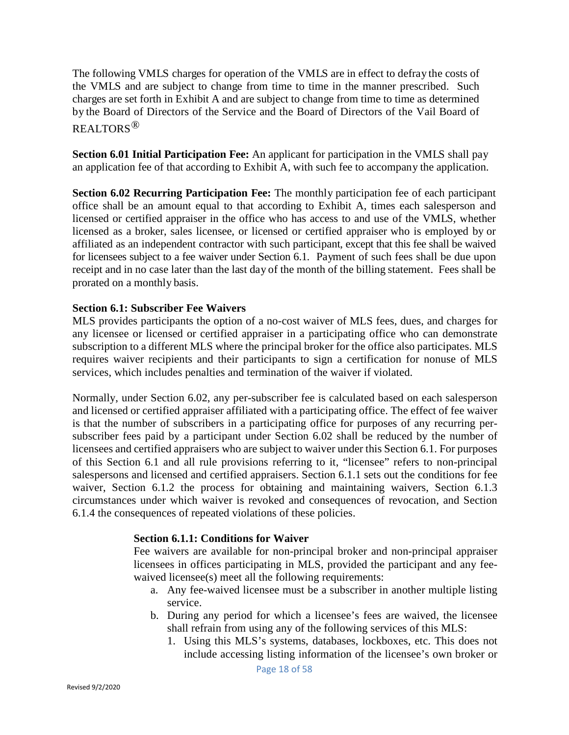The following VMLS charges for operation of the VMLS are in effect to defray the costs of the VMLS and are subject to change from time to time in the manner prescribed. Such charges are set forth in Exhibit A and are subject to change from time to time as determined by the Board of Directors of the Service and the Board of Directors of the Vail Board of REALTORS®

**Section 6.01 Initial Participation Fee:** An applicant for participation in the VMLS shall pay an application fee of that according to Exhibit A, with such fee to accompany the application.

**Section 6.02 Recurring Participation Fee:** The monthly participation fee of each participant office shall be an amount equal to that according to Exhibit A, times each salesperson and licensed or certified appraiser in the office who has access to and use of the VMLS, whether licensed as a broker, sales licensee, or licensed or certified appraiser who is employed by or affiliated as an independent contractor with such participant, except that this fee shall be waived for licensees subject to a fee waiver under Section 6.1. Payment of such fees shall be due upon receipt and in no case later than the last day of the month of the billing statement. Fees shall be prorated on a monthly basis.

## **Section 6.1: Subscriber Fee Waivers**

MLS provides participants the option of a no-cost waiver of MLS fees, dues, and charges for any licensee or licensed or certified appraiser in a participating office who can demonstrate subscription to a different MLS where the principal broker for the office also participates. MLS requires waiver recipients and their participants to sign a certification for nonuse of MLS services, which includes penalties and termination of the waiver if violated.

Normally, under Section 6.02, any per-subscriber fee is calculated based on each salesperson and licensed or certified appraiser affiliated with a participating office. The effect of fee waiver is that the number of subscribers in a participating office for purposes of any recurring persubscriber fees paid by a participant under Section 6.02 shall be reduced by the number of licensees and certified appraisers who are subject to waiver under this Section 6.1. For purposes of this Section 6.1 and all rule provisions referring to it, "licensee" refers to non-principal salespersons and licensed and certified appraisers. Section 6.1.1 sets out the conditions for fee waiver, Section 6.1.2 the process for obtaining and maintaining waivers, Section 6.1.3 circumstances under which waiver is revoked and consequences of revocation, and Section 6.1.4 the consequences of repeated violations of these policies.

#### **Section 6.1.1: Conditions for Waiver**

Fee waivers are available for non-principal broker and non-principal appraiser licensees in offices participating in MLS, provided the participant and any feewaived licensee(s) meet all the following requirements:

- a. Any fee-waived licensee must be a subscriber in another multiple listing service.
- b. During any period for which a licensee's fees are waived, the licensee shall refrain from using any of the following services of this MLS:
	- 1. Using this MLS's systems, databases, lockboxes, etc. This does not include accessing listing information of the licensee's own broker or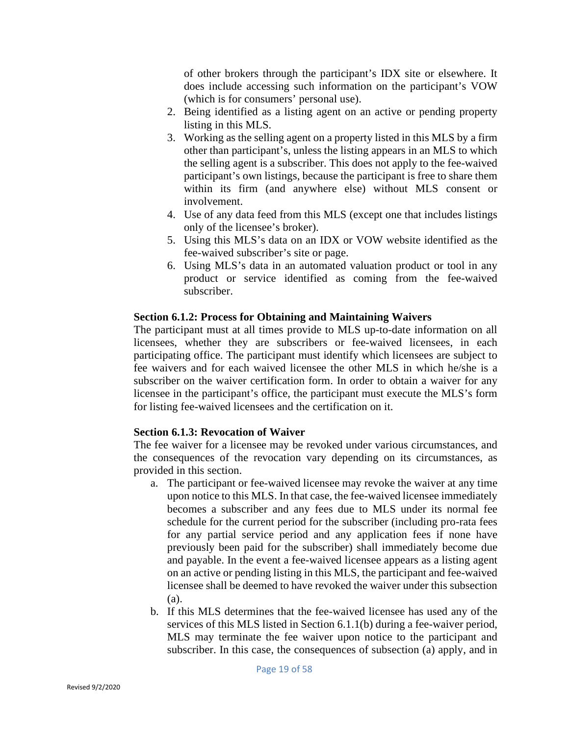of other brokers through the participant's IDX site or elsewhere. It does include accessing such information on the participant's VOW (which is for consumers' personal use).

- 2. Being identified as a listing agent on an active or pending property listing in this MLS.
- 3. Working as the selling agent on a property listed in this MLS by a firm other than participant's, unless the listing appears in an MLS to which the selling agent is a subscriber. This does not apply to the fee-waived participant's own listings, because the participant is free to share them within its firm (and anywhere else) without MLS consent or involvement.
- 4. Use of any data feed from this MLS (except one that includes listings only of the licensee's broker).
- 5. Using this MLS's data on an IDX or VOW website identified as the fee-waived subscriber's site or page.
- 6. Using MLS's data in an automated valuation product or tool in any product or service identified as coming from the fee-waived subscriber.

## **Section 6.1.2: Process for Obtaining and Maintaining Waivers**

The participant must at all times provide to MLS up-to-date information on all licensees, whether they are subscribers or fee-waived licensees, in each participating office. The participant must identify which licensees are subject to fee waivers and for each waived licensee the other MLS in which he/she is a subscriber on the waiver certification form. In order to obtain a waiver for any licensee in the participant's office, the participant must execute the MLS's form for listing fee-waived licensees and the certification on it.

## **Section 6.1.3: Revocation of Waiver**

The fee waiver for a licensee may be revoked under various circumstances, and the consequences of the revocation vary depending on its circumstances, as provided in this section.

- a. The participant or fee-waived licensee may revoke the waiver at any time upon notice to this MLS. In that case, the fee-waived licensee immediately becomes a subscriber and any fees due to MLS under its normal fee schedule for the current period for the subscriber (including pro-rata fees for any partial service period and any application fees if none have previously been paid for the subscriber) shall immediately become due and payable. In the event a fee-waived licensee appears as a listing agent on an active or pending listing in this MLS, the participant and fee-waived licensee shall be deemed to have revoked the waiver under this subsection (a).
- b. If this MLS determines that the fee-waived licensee has used any of the services of this MLS listed in Section 6.1.1(b) during a fee-waiver period, MLS may terminate the fee waiver upon notice to the participant and subscriber. In this case, the consequences of subsection (a) apply, and in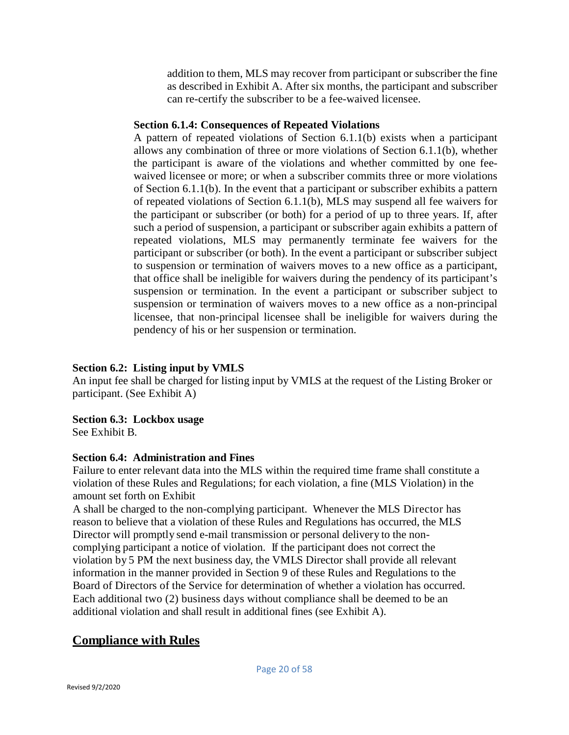addition to them, MLS may recover from participant or subscriber the fine as described in Exhibit A. After six months, the participant and subscriber can re-certify the subscriber to be a fee-waived licensee.

## **Section 6.1.4: Consequences of Repeated Violations**

A pattern of repeated violations of Section 6.1.1(b) exists when a participant allows any combination of three or more violations of Section 6.1.1(b), whether the participant is aware of the violations and whether committed by one feewaived licensee or more; or when a subscriber commits three or more violations of Section 6.1.1(b). In the event that a participant or subscriber exhibits a pattern of repeated violations of Section 6.1.1(b), MLS may suspend all fee waivers for the participant or subscriber (or both) for a period of up to three years. If, after such a period of suspension, a participant or subscriber again exhibits a pattern of repeated violations, MLS may permanently terminate fee waivers for the participant or subscriber (or both). In the event a participant or subscriber subject to suspension or termination of waivers moves to a new office as a participant, that office shall be ineligible for waivers during the pendency of its participant's suspension or termination. In the event a participant or subscriber subject to suspension or termination of waivers moves to a new office as a non-principal licensee, that non-principal licensee shall be ineligible for waivers during the pendency of his or her suspension or termination.

## **Section 6.2: Listing input by VMLS**

An input fee shall be charged for listing input by VMLS at the request of the Listing Broker or participant. (See Exhibit A)

## **Section 6.3: Lockbox usage**

See Exhibit B.

## **Section 6.4: Administration and Fines**

Failure to enter relevant data into the MLS within the required time frame shall constitute a violation of these Rules and Regulations; for each violation, a fine (MLS Violation) in the amount set forth on Exhibit

A shall be charged to the non-complying participant. Whenever the MLS Director has reason to believe that a violation of these Rules and Regulations has occurred, the MLS Director will promptly send e-mail transmission or personal delivery to the noncomplying participant a notice of violation. If the participant does not correct the violation by 5 PM the next business day, the VMLS Director shall provide all relevant information in the manner provided in Section 9 of these Rules and Regulations to the Board of Directors of the Service for determination of whether a violation has occurred. Each additional two (2) business days without compliance shall be deemed to be an additional violation and shall result in additional fines (see Exhibit A).

# **Compliance with Rules**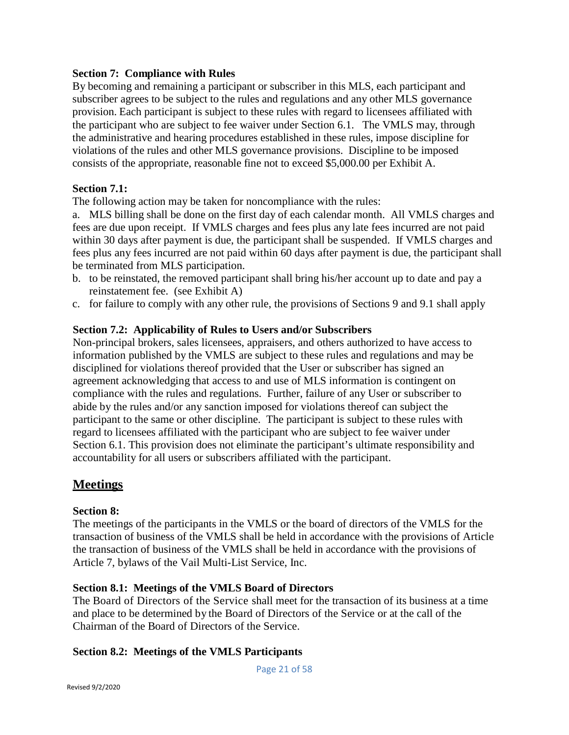## **Section 7: Compliance with Rules**

By becoming and remaining a participant or subscriber in this MLS, each participant and subscriber agrees to be subject to the rules and regulations and any other MLS governance provision. Each participant is subject to these rules with regard to licensees affiliated with the participant who are subject to fee waiver under Section 6.1. The VMLS may, through the administrative and hearing procedures established in these rules, impose discipline for violations of the rules and other MLS governance provisions. Discipline to be imposed consists of the appropriate, reasonable fine not to exceed \$5,000.00 per Exhibit A.

## **Section 7.1:**

The following action may be taken for noncompliance with the rules:

a. MLS billing shall be done on the first day of each calendar month. All VMLS charges and fees are due upon receipt. If VMLS charges and fees plus any late fees incurred are not paid within 30 days after payment is due, the participant shall be suspended. If VMLS charges and fees plus any fees incurred are not paid within 60 days after payment is due, the participant shall be terminated from MLS participation.

- b. to be reinstated, the removed participant shall bring his/her account up to date and pay a reinstatement fee. (see Exhibit A)
- c. for failure to comply with any other rule, the provisions of Sections 9 and 9.1 shall apply

## **Section 7.2: Applicability of Rules to Users and/or Subscribers**

Non-principal brokers, sales licensees, appraisers, and others authorized to have access to information published by the VMLS are subject to these rules and regulations and may be disciplined for violations thereof provided that the User or subscriber has signed an agreement acknowledging that access to and use of MLS information is contingent on compliance with the rules and regulations. Further, failure of any User or subscriber to abide by the rules and/or any sanction imposed for violations thereof can subject the participant to the same or other discipline. The participant is subject to these rules with regard to licensees affiliated with the participant who are subject to fee waiver under Section 6.1. This provision does not eliminate the participant's ultimate responsibility and accountability for all users or subscribers affiliated with the participant.

# **Meetings**

#### **Section 8:**

The meetings of the participants in the VMLS or the board of directors of the VMLS for the transaction of business of the VMLS shall be held in accordance with the provisions of Article the transaction of business of the VMLS shall be held in accordance with the provisions of Article 7, bylaws of the Vail Multi-List Service, Inc.

#### **Section 8.1: Meetings of the VMLS Board of Directors**

The Board of Directors of the Service shall meet for the transaction of its business at a time and place to be determined by the Board of Directors of the Service or at the call of the Chairman of the Board of Directors of the Service.

## **Section 8.2: Meetings of the VMLS Participants**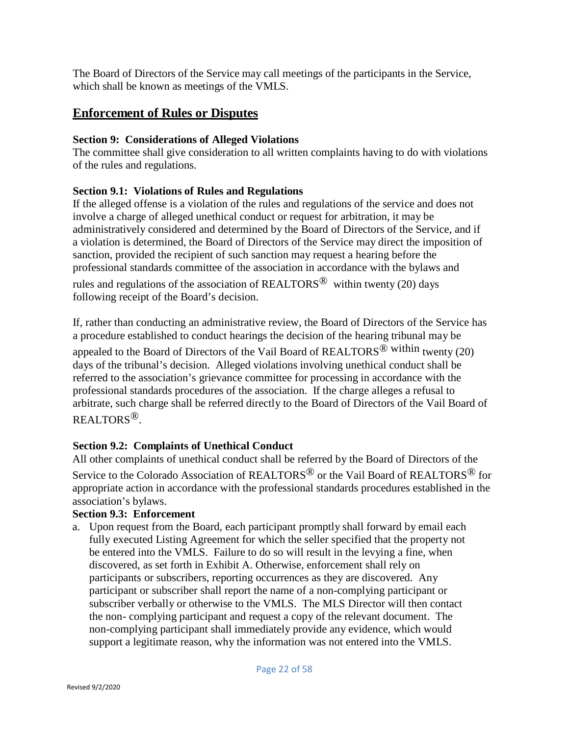The Board of Directors of the Service may call meetings of the participants in the Service, which shall be known as meetings of the VMLS.

# **Enforcement of Rules or Disputes**

## **Section 9: Considerations of Alleged Violations**

The committee shall give consideration to all written complaints having to do with violations of the rules and regulations.

# **Section 9.1: Violations of Rules and Regulations**

If the alleged offense is a violation of the rules and regulations of the service and does not involve a charge of alleged unethical conduct or request for arbitration, it may be administratively considered and determined by the Board of Directors of the Service, and if a violation is determined, the Board of Directors of the Service may direct the imposition of sanction, provided the recipient of such sanction may request a hearing before the professional standards committee of the association in accordance with the bylaws and

rules and regulations of the association of REALTORS<sup>®</sup> within twenty (20) days following receipt of the Board's decision.

If, rather than conducting an administrative review, the Board of Directors of the Service has a procedure established to conduct hearings the decision of the hearing tribunal may be

appealed to the Board of Directors of the Vail Board of REALTORS<sup>®</sup> within twenty (20) days of the tribunal's decision. Alleged violations involving unethical conduct shall be referred to the association's grievance committee for processing in accordance with the professional standards procedures of the association. If the charge alleges a refusal to arbitrate, such charge shall be referred directly to the Board of Directors of the Vail Board of REALTORS®.

# **Section 9.2: Complaints of Unethical Conduct**

All other complaints of unethical conduct shall be referred by the Board of Directors of the Service to the Colorado Association of REALTORS<sup>®</sup> or the Vail Board of REALTORS<sup>®</sup> for appropriate action in accordance with the professional standards procedures established in the association's bylaws.

## **Section 9.3: Enforcement**

a. Upon request from the Board, each participant promptly shall forward by email each fully executed Listing Agreement for which the seller specified that the property not be entered into the VMLS. Failure to do so will result in the levying a fine, when discovered, as set forth in Exhibit A. Otherwise, enforcement shall rely on participants or subscribers, reporting occurrences as they are discovered. Any participant or subscriber shall report the name of a non-complying participant or subscriber verbally or otherwise to the VMLS. The MLS Director will then contact the non- complying participant and request a copy of the relevant document. The non-complying participant shall immediately provide any evidence, which would support a legitimate reason, why the information was not entered into the VMLS.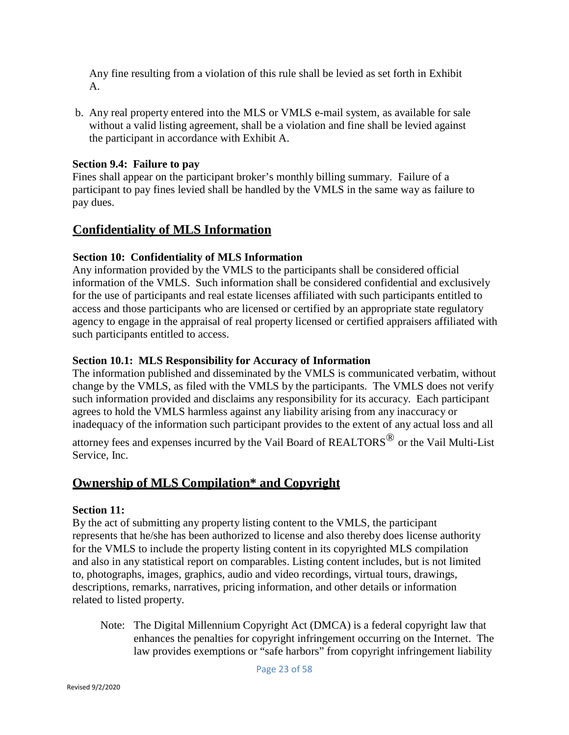Any fine resulting from a violation of this rule shall be levied as set forth in Exhibit A.

b. Any real property entered into the MLS or VMLS e-mail system, as available for sale without a valid listing agreement, shall be a violation and fine shall be levied against the participant in accordance with Exhibit A.

## **Section 9.4: Failure to pay**

Fines shall appear on the participant broker's monthly billing summary. Failure of a participant to pay fines levied shall be handled by the VMLS in the same way as failure to pay dues.

# **Confidentiality of MLS Information**

## **Section 10: Confidentiality of MLS Information**

Any information provided by the VMLS to the participants shall be considered official information of the VMLS. Such information shall be considered confidential and exclusively for the use of participants and real estate licenses affiliated with such participants entitled to access and those participants who are licensed or certified by an appropriate state regulatory agency to engage in the appraisal of real property licensed or certified appraisers affiliated with such participants entitled to access.

## **Section 10.1: MLS Responsibility for Accuracy of Information**

The information published and disseminated by the VMLS is communicated verbatim, without change by the VMLS, as filed with the VMLS by the participants. The VMLS does not verify such information provided and disclaims any responsibility for its accuracy. Each participant agrees to hold the VMLS harmless against any liability arising from any inaccuracy or inadequacy of the information such participant provides to the extent of any actual loss and all

attorney fees and expenses incurred by the Vail Board of  $REALTORS^{\circledR}$  or the Vail Multi-List Service, Inc.

# **Ownership of MLS Compilation\* and Copyright**

## **Section 11:**

By the act of submitting any property listing content to the VMLS, the participant represents that he/she has been authorized to license and also thereby does license authority for the VMLS to include the property listing content in its copyrighted MLS compilation and also in any statistical report on comparables. Listing content includes, but is not limited to, photographs, images, graphics, audio and video recordings, virtual tours, drawings, descriptions, remarks, narratives, pricing information, and other details or information related to listed property.

Note: The Digital Millennium Copyright Act (DMCA) is a federal copyright law that enhances the penalties for copyright infringement occurring on the Internet. The law provides exemptions or "safe harbors" from copyright infringement liability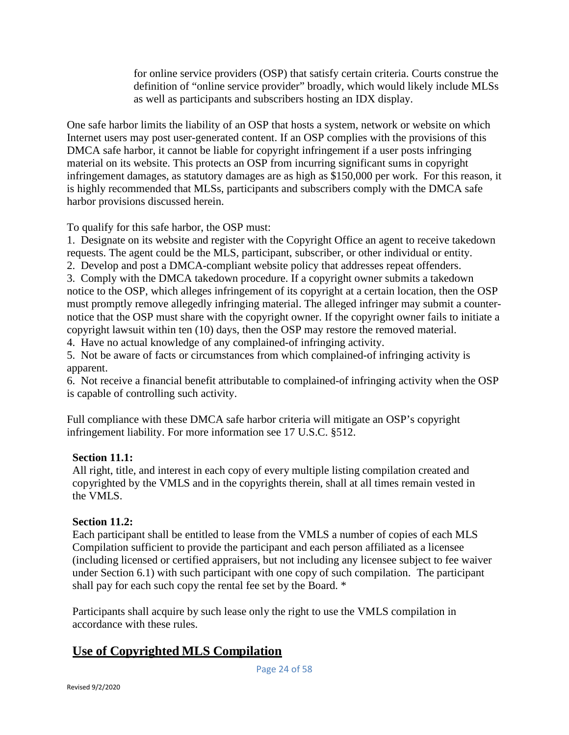for online service providers (OSP) that satisfy certain criteria. Courts construe the definition of "online service provider" broadly, which would likely include MLSs as well as participants and subscribers hosting an IDX display.

One safe harbor limits the liability of an OSP that hosts a system, network or website on which Internet users may post user-generated content. If an OSP complies with the provisions of this DMCA safe harbor, it cannot be liable for copyright infringement if a user posts infringing material on its website. This protects an OSP from incurring significant sums in copyright infringement damages, as statutory damages are as high as \$150,000 per work. For this reason, it is highly recommended that MLSs, participants and subscribers comply with the DMCA safe harbor provisions discussed herein.

To qualify for this safe harbor, the OSP must:

1. Designate on its website and register with the Copyright Office an agent to receive takedown requests. The agent could be the MLS, participant, subscriber, or other individual or entity.

2. Develop and post a DMCA-compliant website policy that addresses repeat offenders.

3. Comply with the DMCA takedown procedure. If a copyright owner submits a takedown notice to the OSP, which alleges infringement of its copyright at a certain location, then the OSP must promptly remove allegedly infringing material. The alleged infringer may submit a counternotice that the OSP must share with the copyright owner. If the copyright owner fails to initiate a copyright lawsuit within ten (10) days, then the OSP may restore the removed material.

4. Have no actual knowledge of any complained-of infringing activity.

5. Not be aware of facts or circumstances from which complained-of infringing activity is apparent.

6. Not receive a financial benefit attributable to complained-of infringing activity when the OSP is capable of controlling such activity.

Full compliance with these DMCA safe harbor criteria will mitigate an OSP's copyright infringement liability. For more information see [17 U.S.C. §512.](https://www.law.cornell.edu/uscode/text/17/512)

# **Section 11.1:**

All right, title, and interest in each copy of every multiple listing compilation created and copyrighted by the VMLS and in the copyrights therein, shall at all times remain vested in the VMLS.

## **Section 11.2:**

Each participant shall be entitled to lease from the VMLS a number of copies of each MLS Compilation sufficient to provide the participant and each person affiliated as a licensee (including licensed or certified appraisers, but not including any licensee subject to fee waiver under Section 6.1) with such participant with one copy of such compilation. The participant shall pay for each such copy the rental fee set by the Board. \*

Participants shall acquire by such lease only the right to use the VMLS compilation in accordance with these rules.

# **Use of Copyrighted MLS Compilation**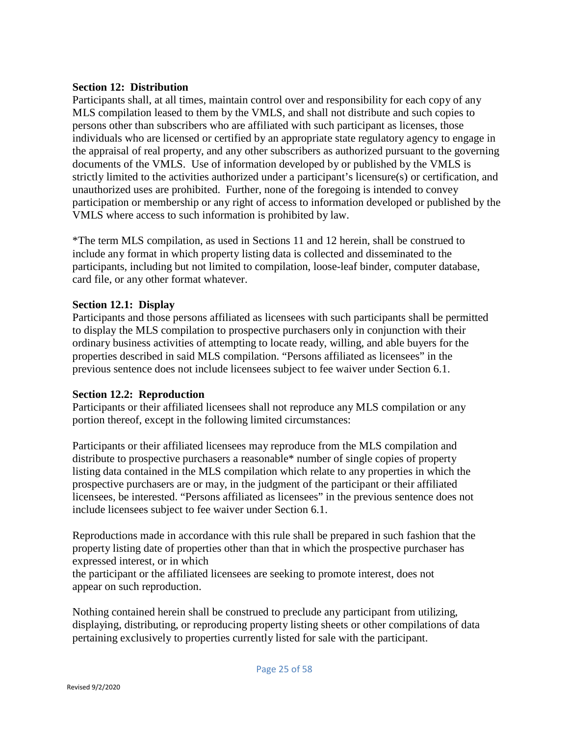## **Section 12: Distribution**

Participants shall, at all times, maintain control over and responsibility for each copy of any MLS compilation leased to them by the VMLS, and shall not distribute and such copies to persons other than subscribers who are affiliated with such participant as licenses, those individuals who are licensed or certified by an appropriate state regulatory agency to engage in the appraisal of real property, and any other subscribers as authorized pursuant to the governing documents of the VMLS. Use of information developed by or published by the VMLS is strictly limited to the activities authorized under a participant's licensure(s) or certification, and unauthorized uses are prohibited. Further, none of the foregoing is intended to convey participation or membership or any right of access to information developed or published by the VMLS where access to such information is prohibited by law.

\*The term MLS compilation, as used in Sections 11 and 12 herein, shall be construed to include any format in which property listing data is collected and disseminated to the participants, including but not limited to compilation, loose-leaf binder, computer database, card file, or any other format whatever.

## **Section 12.1: Display**

Participants and those persons affiliated as licensees with such participants shall be permitted to display the MLS compilation to prospective purchasers only in conjunction with their ordinary business activities of attempting to locate ready, willing, and able buyers for the properties described in said MLS compilation. "Persons affiliated as licensees" in the previous sentence does not include licensees subject to fee waiver under Section 6.1.

#### **Section 12.2: Reproduction**

Participants or their affiliated licensees shall not reproduce any MLS compilation or any portion thereof, except in the following limited circumstances:

Participants or their affiliated licensees may reproduce from the MLS compilation and distribute to prospective purchasers a reasonable\* number of single copies of property listing data contained in the MLS compilation which relate to any properties in which the prospective purchasers are or may, in the judgment of the participant or their affiliated licensees, be interested. "Persons affiliated as licensees" in the previous sentence does not include licensees subject to fee waiver under Section 6.1.

Reproductions made in accordance with this rule shall be prepared in such fashion that the property listing date of properties other than that in which the prospective purchaser has expressed interest, or in which

the participant or the affiliated licensees are seeking to promote interest, does not appear on such reproduction.

Nothing contained herein shall be construed to preclude any participant from utilizing, displaying, distributing, or reproducing property listing sheets or other compilations of data pertaining exclusively to properties currently listed for sale with the participant.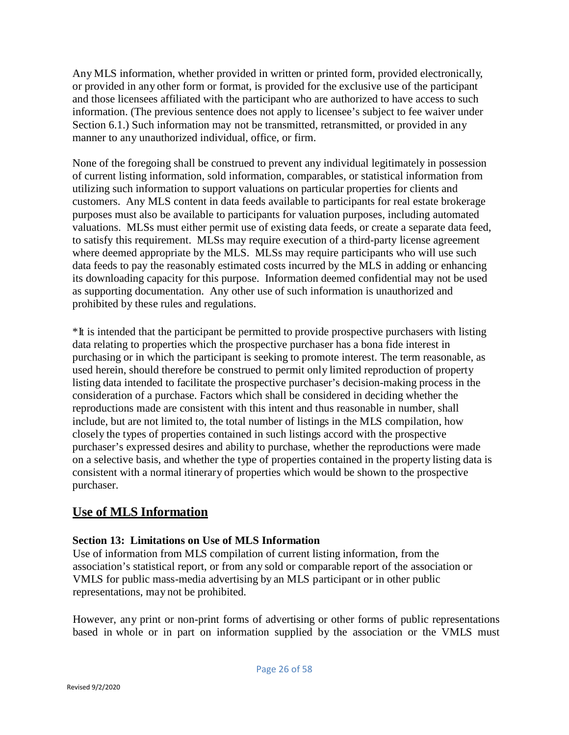Any MLS information, whether provided in written or printed form, provided electronically, or provided in any other form or format, is provided for the exclusive use of the participant and those licensees affiliated with the participant who are authorized to have access to such information. (The previous sentence does not apply to licensee's subject to fee waiver under Section 6.1.) Such information may not be transmitted, retransmitted, or provided in any manner to any unauthorized individual, office, or firm.

None of the foregoing shall be construed to prevent any individual legitimately in possession of current listing information, sold information, comparables, or statistical information from utilizing such information to support valuations on particular properties for clients and customers. Any MLS content in data feeds available to participants for real estate brokerage purposes must also be available to participants for valuation purposes, including automated valuations. MLSs must either permit use of existing data feeds, or create a separate data feed, to satisfy this requirement. MLSs may require execution of a third-party license agreement where deemed appropriate by the MLS. MLSs may require participants who will use such data feeds to pay the reasonably estimated costs incurred by the MLS in adding or enhancing its downloading capacity for this purpose. Information deemed confidential may not be used as supporting documentation. Any other use of such information is unauthorized and prohibited by these rules and regulations.

\*It is intended that the participant be permitted to provide prospective purchasers with listing data relating to properties which the prospective purchaser has a bona fide interest in purchasing or in which the participant is seeking to promote interest. The term reasonable, as used herein, should therefore be construed to permit only limited reproduction of property listing data intended to facilitate the prospective purchaser's decision-making process in the consideration of a purchase. Factors which shall be considered in deciding whether the reproductions made are consistent with this intent and thus reasonable in number, shall include, but are not limited to, the total number of listings in the MLS compilation, how closely the types of properties contained in such listings accord with the prospective purchaser's expressed desires and ability to purchase, whether the reproductions were made on a selective basis, and whether the type of properties contained in the property listing data is consistent with a normal itinerary of properties which would be shown to the prospective purchaser.

# **Use of MLS Information**

## **Section 13: Limitations on Use of MLS Information**

Use of information from MLS compilation of current listing information, from the association's statistical report, or from any sold or comparable report of the association or VMLS for public mass-media advertising by an MLS participant or in other public representations, may not be prohibited.

However, any print or non-print forms of advertising or other forms of public representations based in whole or in part on information supplied by the association or the VMLS must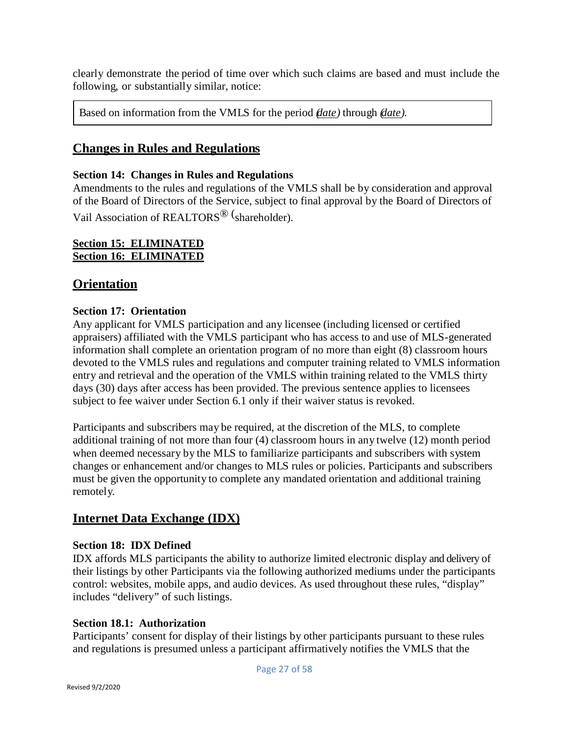clearly demonstrate the period of time over which such claims are based and must include the following, or substantially similar, notice:

Based on information from the VMLS for the period *(date)* through *(date).*

# **Changes in Rules and Regulations**

## **Section 14: Changes in Rules and Regulations**

Amendments to the rules and regulations of the VMLS shall be by consideration and approval of the Board of Directors of the Service, subject to final approval by the Board of Directors of Vail Association of REALTORS<sup>®</sup> (shareholder).

## **Section 15: ELIMINATED Section 16: ELIMINATED**

# **Orientation**

## **Section 17: Orientation**

Any applicant for VMLS participation and any licensee (including licensed or certified appraisers) affiliated with the VMLS participant who has access to and use of MLS-generated information shall complete an orientation program of no more than eight (8) classroom hours devoted to the VMLS rules and regulations and computer training related to VMLS information entry and retrieval and the operation of the VMLS within training related to the VMLS thirty days (30) days after access has been provided. The previous sentence applies to licensees subject to fee waiver under Section 6.1 only if their waiver status is revoked.

Participants and subscribers may be required, at the discretion of the MLS, to complete additional training of not more than four (4) classroom hours in any twelve (12) month period when deemed necessary by the MLS to familiarize participants and subscribers with system changes or enhancement and/or changes to MLS rules or policies. Participants and subscribers must be given the opportunity to complete any mandated orientation and additional training remotely.

# **Internet Data Exchange (IDX)**

## **Section 18: IDX Defined**

IDX affords MLS participants the ability to authorize limited electronic display and delivery of their listings by other Participants via the following authorized mediums under the participants control: websites, mobile apps, and audio devices. As used throughout these rules, "display" includes "delivery" of such listings.

## **Section 18.1: Authorization**

Participants' consent for display of their listings by other participants pursuant to these rules and regulations is presumed unless a participant affirmatively notifies the VMLS that the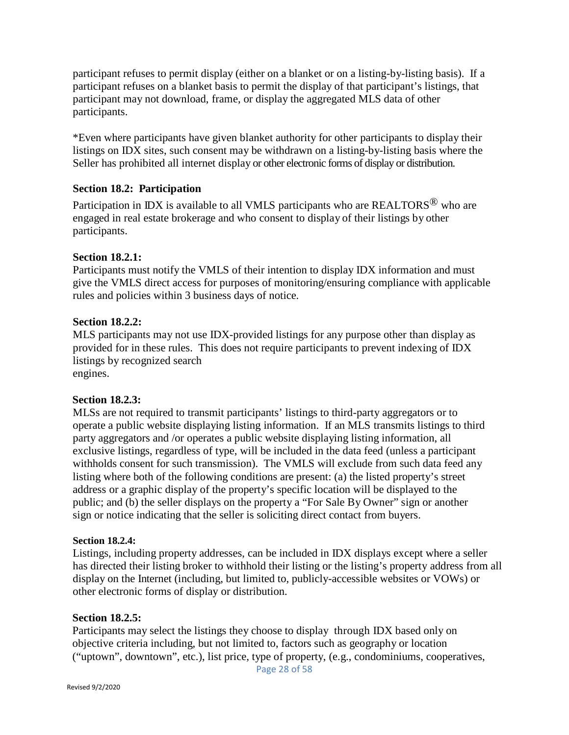participant refuses to permit display (either on a blanket or on a listing-by-listing basis). If a participant refuses on a blanket basis to permit the display of that participant's listings, that participant may not download, frame, or display the aggregated MLS data of other participants.

\*Even where participants have given blanket authority for other participants to display their listings on IDX sites, such consent may be withdrawn on a listing-by-listing basis where the Seller has prohibited all internet display or other electronic forms of display or distribution.

## **Section 18.2: Participation**

Participation in IDX is available to all VMLS participants who are REALTORS<sup>®</sup> who are engaged in real estate brokerage and who consent to display of their listings by other participants.

## **Section 18.2.1:**

Participants must notify the VMLS of their intention to display IDX information and must give the VMLS direct access for purposes of monitoring/ensuring compliance with applicable rules and policies within 3 business days of notice.

## **Section 18.2.2:**

MLS participants may not use IDX-provided listings for any purpose other than display as provided for in these rules. This does not require participants to prevent indexing of IDX listings by recognized search engines.

#### **Section 18.2.3:**

MLSs are not required to transmit participants' listings to third-party aggregators or to operate a public website displaying listing information. If an MLS transmits listings to third party aggregators and /or operates a public website displaying listing information, all exclusive listings, regardless of type, will be included in the data feed (unless a participant withholds consent for such transmission). The VMLS will exclude from such data feed any listing where both of the following conditions are present: (a) the listed property's street address or a graphic display of the property's specific location will be displayed to the public; and (b) the seller displays on the property a "For Sale By Owner" sign or another sign or notice indicating that the seller is soliciting direct contact from buyers.

#### **Section 18.2.4:**

Listings, including property addresses, can be included in IDX displays except where a seller has directed their listing broker to withhold their listing or the listing's property address from all display on the Internet (including, but limited to, publicly-accessible websites or VOWs) or other electronic forms of display or distribution.

## **Section 18.2.5:**

Participants may select the listings they choose to display through IDX based only on objective criteria including, but not limited to, factors such as geography or location ("uptown", downtown", etc.), list price, type of property, (e.g., condominiums, cooperatives,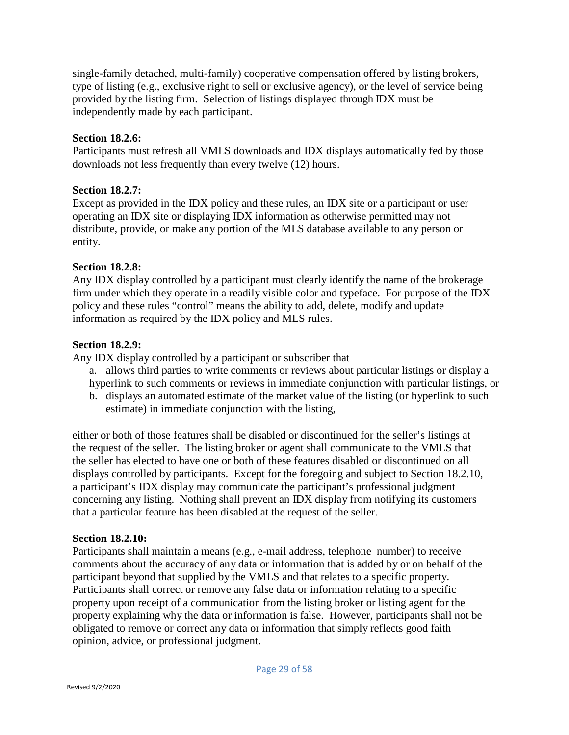single-family detached, multi-family) cooperative compensation offered by listing brokers, type of listing (e.g., exclusive right to sell or exclusive agency), or the level of service being provided by the listing firm. Selection of listings displayed through IDX must be independently made by each participant.

## **Section 18.2.6:**

Participants must refresh all VMLS downloads and IDX displays automatically fed by those downloads not less frequently than every twelve (12) hours.

#### **Section 18.2.7:**

Except as provided in the IDX policy and these rules, an IDX site or a participant or user operating an IDX site or displaying IDX information as otherwise permitted may not distribute, provide, or make any portion of the MLS database available to any person or entity.

## **Section 18.2.8:**

Any IDX display controlled by a participant must clearly identify the name of the brokerage firm under which they operate in a readily visible color and typeface. For purpose of the IDX policy and these rules "control" means the ability to add, delete, modify and update information as required by the IDX policy and MLS rules.

## **Section 18.2.9:**

Any IDX display controlled by a participant or subscriber that

- a. allows third parties to write comments or reviews about particular listings or display a hyperlink to such comments or reviews in immediate conjunction with particular listings, or
- b. displays an automated estimate of the market value of the listing (or hyperlink to such estimate) in immediate conjunction with the listing,

either or both of those features shall be disabled or discontinued for the seller's listings at the request of the seller. The listing broker or agent shall communicate to the VMLS that the seller has elected to have one or both of these features disabled or discontinued on all displays controlled by participants. Except for the foregoing and subject to Section 18.2.10, a participant's IDX display may communicate the participant's professional judgment concerning any listing. Nothing shall prevent an IDX display from notifying its customers that a particular feature has been disabled at the request of the seller.

## **Section 18.2.10:**

Participants shall maintain a means (e.g., e-mail address, telephone number) to receive comments about the accuracy of any data or information that is added by or on behalf of the participant beyond that supplied by the VMLS and that relates to a specific property. Participants shall correct or remove any false data or information relating to a specific property upon receipt of a communication from the listing broker or listing agent for the property explaining why the data or information is false. However, participants shall not be obligated to remove or correct any data or information that simply reflects good faith opinion, advice, or professional judgment.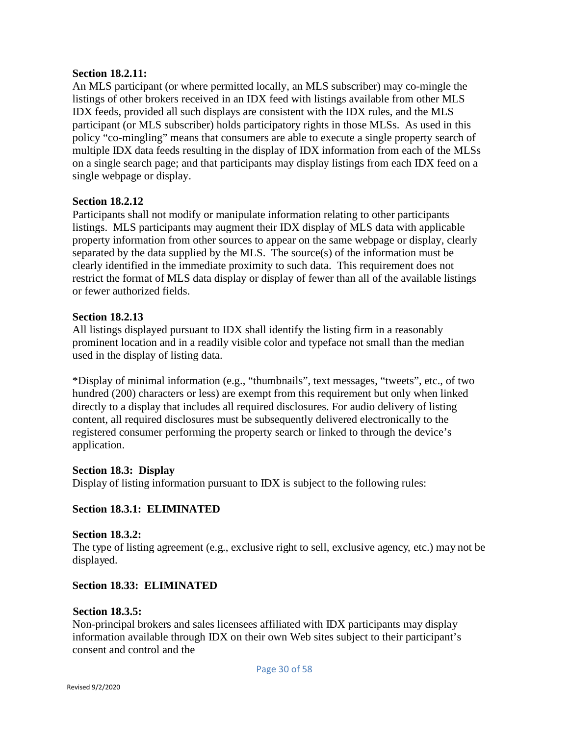#### **Section 18.2.11:**

An MLS participant (or where permitted locally, an MLS subscriber) may co-mingle the listings of other brokers received in an IDX feed with listings available from other MLS IDX feeds, provided all such displays are consistent with the IDX rules, and the MLS participant (or MLS subscriber) holds participatory rights in those MLSs. As used in this policy "co-mingling" means that consumers are able to execute a single property search of multiple IDX data feeds resulting in the display of IDX information from each of the MLSs on a single search page; and that participants may display listings from each IDX feed on a single webpage or display.

## **Section 18.2.12**

Participants shall not modify or manipulate information relating to other participants listings. MLS participants may augment their IDX display of MLS data with applicable property information from other sources to appear on the same webpage or display, clearly separated by the data supplied by the MLS. The source(s) of the information must be clearly identified in the immediate proximity to such data. This requirement does not restrict the format of MLS data display or display of fewer than all of the available listings or fewer authorized fields.

## **Section 18.2.13**

All listings displayed pursuant to IDX shall identify the listing firm in a reasonably prominent location and in a readily visible color and typeface not small than the median used in the display of listing data.

\*Display of minimal information (e.g., "thumbnails", text messages, "tweets", etc., of two hundred (200) characters or less) are exempt from this requirement but only when linked directly to a display that includes all required disclosures. For audio delivery of listing content, all required disclosures must be subsequently delivered electronically to the registered consumer performing the property search or linked to through the device's application.

## **Section 18.3: Display**

Display of listing information pursuant to IDX is subject to the following rules:

## **Section 18.3.1: ELIMINATED**

#### **Section 18.3.2:**

The type of listing agreement (e.g., exclusive right to sell, exclusive agency, etc.) may not be displayed.

## **Section 18.33: ELIMINATED**

#### **Section 18.3.5:**

Non-principal brokers and sales licensees affiliated with IDX participants may display information available through IDX on their own Web sites subject to their participant's consent and control and the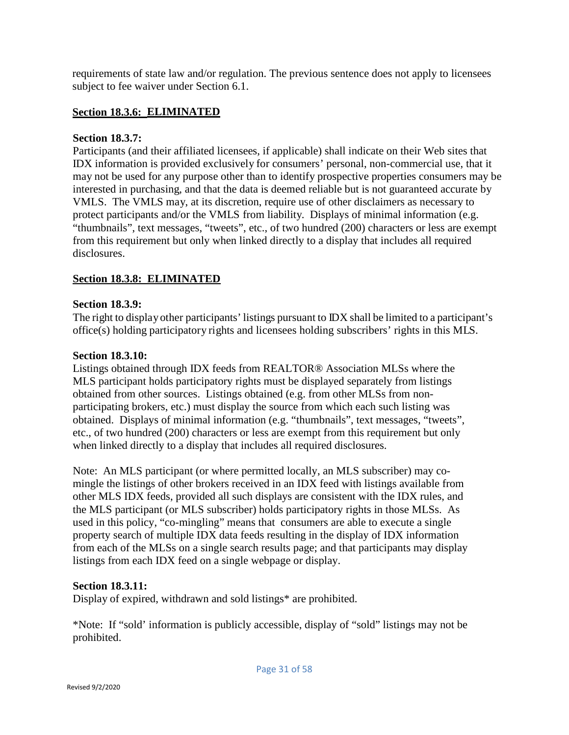requirements of state law and/or regulation. The previous sentence does not apply to licensees subject to fee waiver under Section 6.1.

## **Section 18.3.6: ELIMINATED**

#### **Section 18.3.7:**

Participants (and their affiliated licensees, if applicable) shall indicate on their Web sites that IDX information is provided exclusively for consumers' personal, non-commercial use, that it may not be used for any purpose other than to identify prospective properties consumers may be interested in purchasing, and that the data is deemed reliable but is not guaranteed accurate by VMLS. The VMLS may, at its discretion, require use of other disclaimers as necessary to protect participants and/or the VMLS from liability. Displays of minimal information (e.g. "thumbnails", text messages, "tweets", etc., of two hundred (200) characters or less are exempt from this requirement but only when linked directly to a display that includes all required disclosures.

## **Section 18.3.8: ELIMINATED**

#### **Section 18.3.9:**

The right to display other participants' listings pursuant to DX shall be limited to a participant's office(s) holding participatory rights and licensees holding subscribers' rights in this MLS.

#### **Section 18.3.10:**

Listings obtained through IDX feeds from REALTOR® Association MLSs where the MLS participant holds participatory rights must be displayed separately from listings obtained from other sources. Listings obtained (e.g. from other MLSs from nonparticipating brokers, etc.) must display the source from which each such listing was obtained. Displays of minimal information (e.g. "thumbnails", text messages, "tweets", etc., of two hundred (200) characters or less are exempt from this requirement but only when linked directly to a display that includes all required disclosures.

Note: An MLS participant (or where permitted locally, an MLS subscriber) may comingle the listings of other brokers received in an IDX feed with listings available from other MLS IDX feeds, provided all such displays are consistent with the IDX rules, and the MLS participant (or MLS subscriber) holds participatory rights in those MLSs. As used in this policy, "co-mingling" means that consumers are able to execute a single property search of multiple IDX data feeds resulting in the display of IDX information from each of the MLSs on a single search results page; and that participants may display listings from each IDX feed on a single webpage or display.

#### **Section 18.3.11:**

Display of expired, withdrawn and sold listings\* are prohibited.

\*Note: If "sold' information is publicly accessible, display of "sold" listings may not be prohibited.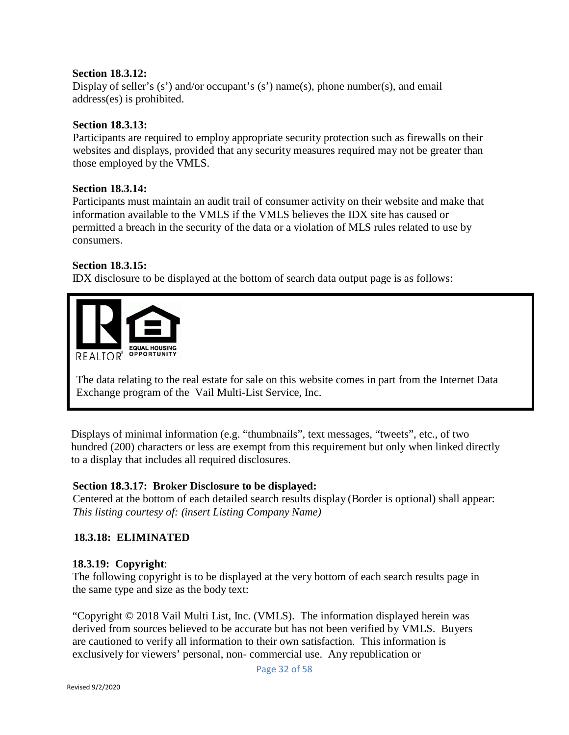## **Section 18.3.12:**

Display of seller's  $(s')$  and/or occupant's  $(s')$  name $(s)$ , phone number $(s)$ , and email address(es) is prohibited.

#### **Section 18.3.13:**

Participants are required to employ appropriate security protection such as firewalls on their websites and displays, provided that any security measures required may not be greater than those employed by the VMLS.

#### **Section 18.3.14:**

Participants must maintain an audit trail of consumer activity on their website and make that information available to the VMLS if the VMLS believes the IDX site has caused or permitted a breach in the security of the data or a violation of MLS rules related to use by consumers.

#### **Section 18.3.15:**

IDX disclosure to be displayed at the bottom of search data output page is as follows:



The data relating to the real estate for sale on this website comes in part from the Internet Data Exchange program of the Vail Multi-List Service, Inc.

Displays of minimal information (e.g. "thumbnails", text messages, "tweets", etc., of two hundred (200) characters or less are exempt from this requirement but only when linked directly to a display that includes all required disclosures.

#### **Section 18.3.17: Broker Disclosure to be displayed:**

Centered at the bottom of each detailed search results display (Border is optional) shall appear: *This listing courtesy of: (insert Listing Company Name)*

## **18.3.18: ELIMINATED**

## **18.3.19: Copyright**:

The following copyright is to be displayed at the very bottom of each search results page in the same type and size as the body text:

"Copyright © 2018 Vail Multi List, Inc. (VMLS). The information displayed herein was derived from sources believed to be accurate but has not been verified by VMLS. Buyers are cautioned to verify all information to their own satisfaction. This information is exclusively for viewers' personal, non- commercial use. Any republication or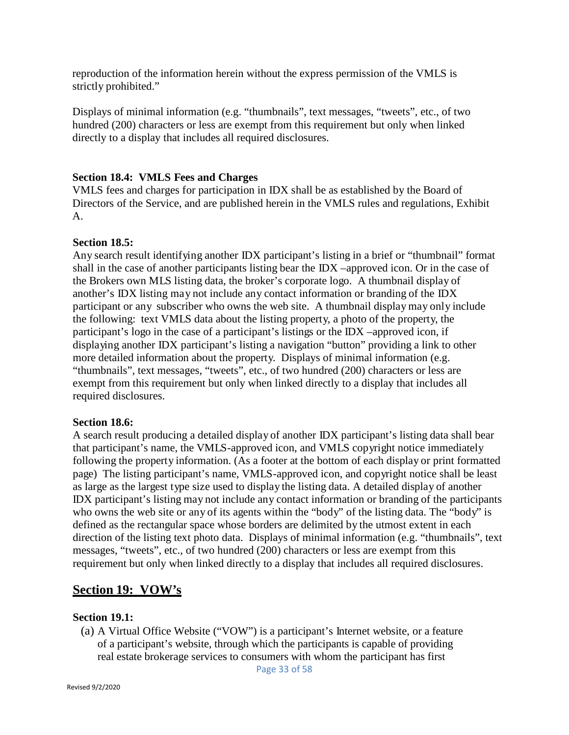reproduction of the information herein without the express permission of the VMLS is strictly prohibited."

Displays of minimal information (e.g. "thumbnails", text messages, "tweets", etc., of two hundred (200) characters or less are exempt from this requirement but only when linked directly to a display that includes all required disclosures.

## **Section 18.4: VMLS Fees and Charges**

VMLS fees and charges for participation in IDX shall be as established by the Board of Directors of the Service, and are published herein in the VMLS rules and regulations, Exhibit A.

#### **Section 18.5:**

Any search result identifying another IDX participant's listing in a brief or "thumbnail" format shall in the case of another participants listing bear the IDX –approved icon. Or in the case of the Brokers own MLS listing data, the broker's corporate logo. A thumbnail display of another's IDX listing may not include any contact information or branding of the IDX participant or any subscriber who owns the web site. A thumbnail display may only include the following: text VMLS data about the listing property, a photo of the property, the participant's logo in the case of a participant's listings or the IDX –approved icon, if displaying another IDX participant's listing a navigation "button" providing a link to other more detailed information about the property. Displays of minimal information (e.g. "thumbnails", text messages, "tweets", etc., of two hundred (200) characters or less are exempt from this requirement but only when linked directly to a display that includes all required disclosures.

#### **Section 18.6:**

A search result producing a detailed display of another IDX participant's listing data shall bear that participant's name, the VMLS-approved icon, and VMLS copyright notice immediately following the property information. (As a footer at the bottom of each display or print formatted page) The listing participant's name, VMLS-approved icon, and copyright notice shall be least as large as the largest type size used to display the listing data. A detailed display of another IDX participant's listing may not include any contact information or branding of the participants who owns the web site or any of its agents within the "body" of the listing data. The "body" is defined as the rectangular space whose borders are delimited by the utmost extent in each direction of the listing text photo data. Displays of minimal information (e.g. "thumbnails", text messages, "tweets", etc., of two hundred (200) characters or less are exempt from this requirement but only when linked directly to a display that includes all required disclosures.

## **Section 19: VOW's**

#### **Section 19.1:**

(a) A Virtual Office Website ("VOW") is a participant's Internet website, or a feature of a participant's website, through which the participants is capable of providing real estate brokerage services to consumers with whom the participant has first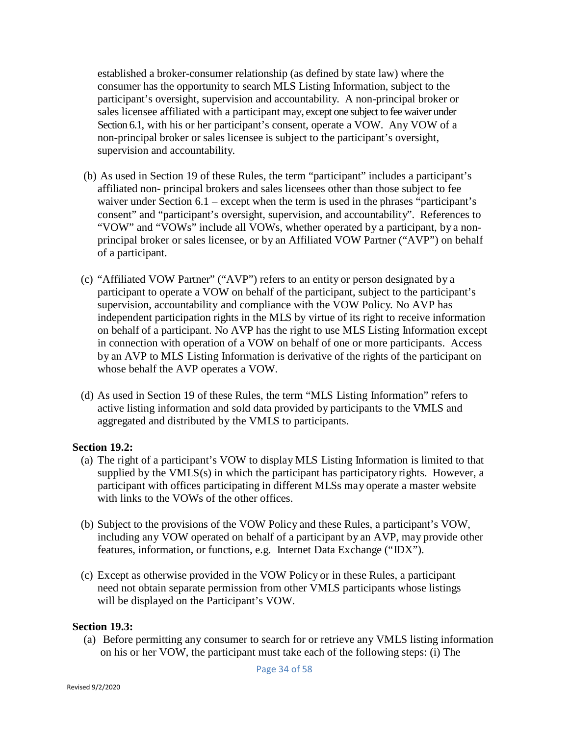established a broker-consumer relationship (as defined by state law) where the consumer has the opportunity to search MLS Listing Information, subject to the participant's oversight, supervision and accountability. A non-principal broker or sales licensee affiliated with a participant may, except one subject to fee waiver under Section 6.1, with his or her participant's consent, operate a VOW. Any VOW of a non-principal broker or sales licensee is subject to the participant's oversight, supervision and accountability.

- (b) As used in Section 19 of these Rules, the term "participant" includes a participant's affiliated non- principal brokers and sales licensees other than those subject to fee waiver under Section 6.1 – except when the term is used in the phrases "participant's consent" and "participant's oversight, supervision, and accountability". References to "VOW" and "VOWs" include all VOWs, whether operated by a participant, by a nonprincipal broker or sales licensee, or by an Affiliated VOW Partner ("AVP") on behalf of a participant.
- (c) "Affiliated VOW Partner" ("AVP") refers to an entity or person designated by a participant to operate a VOW on behalf of the participant, subject to the participant's supervision, accountability and compliance with the VOW Policy. No AVP has independent participation rights in the MLS by virtue of its right to receive information on behalf of a participant. No AVP has the right to use MLS Listing Information except in connection with operation of a VOW on behalf of one or more participants. Access by an AVP to MLS Listing Information is derivative of the rights of the participant on whose behalf the AVP operates a VOW.
- (d) As used in Section 19 of these Rules, the term "MLS Listing Information" refers to active listing information and sold data provided by participants to the VMLS and aggregated and distributed by the VMLS to participants.

#### **Section 19.2:**

- (a) The right of a participant's VOW to display MLS Listing Information is limited to that supplied by the  $VMLS(s)$  in which the participant has participatory rights. However, a participant with offices participating in different MLSs may operate a master website with links to the VOWs of the other offices.
- (b) Subject to the provisions of the VOW Policy and these Rules, a participant's VOW, including any VOW operated on behalf of a participant by an AVP, may provide other features, information, or functions, e.g. Internet Data Exchange ("IDX").
- (c) Except as otherwise provided in the VOW Policy or in these Rules, a participant need not obtain separate permission from other VMLS participants whose listings will be displayed on the Participant's VOW.

#### **Section 19.3:**

(a) Before permitting any consumer to search for or retrieve any VMLS listing information on his or her VOW, the participant must take each of the following steps: (i) The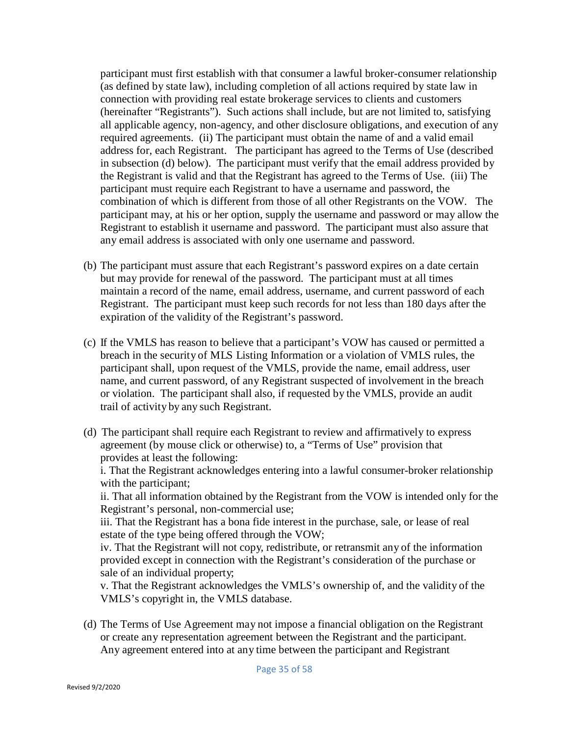participant must first establish with that consumer a lawful broker-consumer relationship (as defined by state law), including completion of all actions required by state law in connection with providing real estate brokerage services to clients and customers (hereinafter "Registrants"). Such actions shall include, but are not limited to, satisfying all applicable agency, non-agency, and other disclosure obligations, and execution of any required agreements. (ii) The participant must obtain the name of and a valid email address for, each Registrant. The participant has agreed to the Terms of Use (described in subsection (d) below). The participant must verify that the email address provided by the Registrant is valid and that the Registrant has agreed to the Terms of Use. (iii) The participant must require each Registrant to have a username and password, the combination of which is different from those of all other Registrants on the VOW. The participant may, at his or her option, supply the username and password or may allow the Registrant to establish it username and password. The participant must also assure that any email address is associated with only one username and password.

- (b) The participant must assure that each Registrant's password expires on a date certain but may provide for renewal of the password. The participant must at all times maintain a record of the name, email address, username, and current password of each Registrant. The participant must keep such records for not less than 180 days after the expiration of the validity of the Registrant's password.
- (c) If the VMLS has reason to believe that a participant's VOW has caused or permitted a breach in the security of MLS Listing Information or a violation of VMLS rules, the participant shall, upon request of the VMLS, provide the name, email address, user name, and current password, of any Registrant suspected of involvement in the breach or violation. The participant shall also, if requested by the VMLS, provide an audit trail of activity by any such Registrant.
- (d) The participant shall require each Registrant to review and affirmatively to express agreement (by mouse click or otherwise) to, a "Terms of Use" provision that provides at least the following:

i. That the Registrant acknowledges entering into a lawful consumer-broker relationship with the participant;

ii. That all information obtained by the Registrant from the VOW is intended only for the Registrant's personal, non-commercial use;

iii. That the Registrant has a bona fide interest in the purchase, sale, or lease of real estate of the type being offered through the VOW;

iv. That the Registrant will not copy, redistribute, or retransmit any of the information provided except in connection with the Registrant's consideration of the purchase or sale of an individual property;

v. That the Registrant acknowledges the VMLS's ownership of, and the validity of the VMLS's copyright in, the VMLS database.

(d) The Terms of Use Agreement may not impose a financial obligation on the Registrant or create any representation agreement between the Registrant and the participant. Any agreement entered into at any time between the participant and Registrant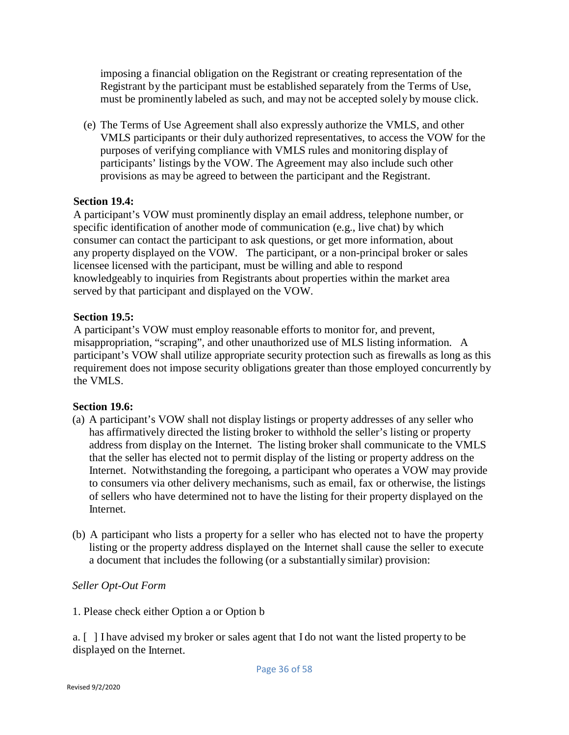imposing a financial obligation on the Registrant or creating representation of the Registrant by the participant must be established separately from the Terms of Use, must be prominently labeled as such, and may not be accepted solely by mouse click.

(e) The Terms of Use Agreement shall also expressly authorize the VMLS, and other VMLS participants or their duly authorized representatives, to access the VOW for the purposes of verifying compliance with VMLS rules and monitoring display of participants' listings by the VOW. The Agreement may also include such other provisions as may be agreed to between the participant and the Registrant.

## **Section 19.4:**

A participant's VOW must prominently display an email address, telephone number, or specific identification of another mode of communication (e.g., live chat) by which consumer can contact the participant to ask questions, or get more information, about any property displayed on the VOW. The participant, or a non-principal broker or sales licensee licensed with the participant, must be willing and able to respond knowledgeably to inquiries from Registrants about properties within the market area served by that participant and displayed on the VOW.

## **Section 19.5:**

A participant's VOW must employ reasonable efforts to monitor for, and prevent, misappropriation, "scraping", and other unauthorized use of MLS listing information. A participant's VOW shall utilize appropriate security protection such as firewalls as long as this requirement does not impose security obligations greater than those employed concurrently by the VMLS.

#### **Section 19.6:**

- (a) A participant's VOW shall not display listings or property addresses of any seller who has affirmatively directed the listing broker to withhold the seller's listing or property address from display on the Internet. The listing broker shall communicate to the VMLS that the seller has elected not to permit display of the listing or property address on the Internet. Notwithstanding the foregoing, a participant who operates a VOW may provide to consumers via other delivery mechanisms, such as email, fax or otherwise, the listings of sellers who have determined not to have the listing for their property displayed on the Internet.
- (b) A participant who lists a property for a seller who has elected not to have the property listing or the property address displayed on the Internet shall cause the seller to execute a document that includes the following (or a substantially similar) provision:

#### *Seller Opt-Out Form*

1. Please check either Option a or Option b

a. [ ] I have advised my broker or sales agent that I do not want the listed property to be displayed on the Internet.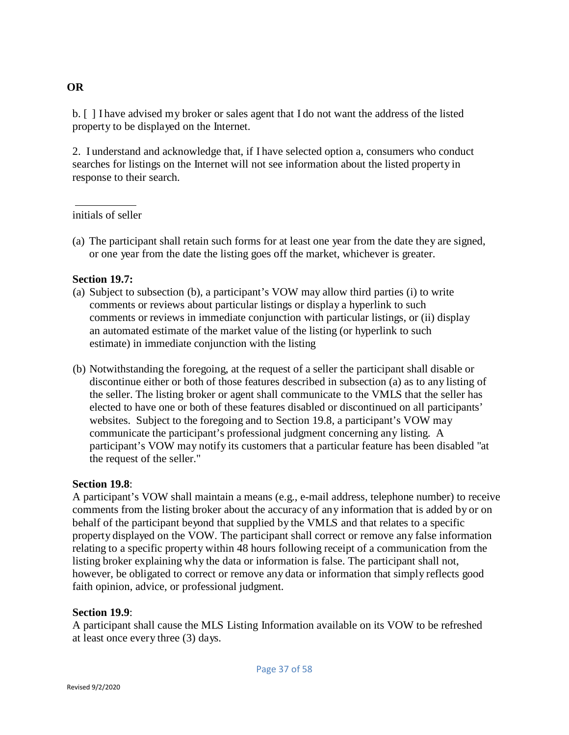b. [ ] I have advised my broker or sales agent that I do not want the address of the listed property to be displayed on the Internet.

2. I understand and acknowledge that, if I have selected option a, consumers who conduct searches for listings on the Internet will not see information about the listed property in response to their search.

## initials of seller

(a) The participant shall retain such forms for at least one year from the date they are signed, or one year from the date the listing goes off the market, whichever is greater.

## **Section 19.7:**

- (a) Subject to subsection (b), a participant's VOW may allow third parties (i) to write comments or reviews about particular listings or display a hyperlink to such comments or reviews in immediate conjunction with particular listings, or (ii) display an automated estimate of the market value of the listing (or hyperlink to such estimate) in immediate conjunction with the listing
- (b) Notwithstanding the foregoing, at the request of a seller the participant shall disable or discontinue either or both of those features described in subsection (a) as to any listing of the seller. The listing broker or agent shall communicate to the VMLS that the seller has elected to have one or both of these features disabled or discontinued on all participants' websites. Subject to the foregoing and to Section 19.8, a participant's VOW may communicate the participant's professional judgment concerning any listing. A participant's VOW may notify its customers that a particular feature has been disabled "at the request of the seller."

#### **Section 19.8**:

A participant's VOW shall maintain a means (e.g., e-mail address, telephone number) to receive comments from the listing broker about the accuracy of any information that is added by or on behalf of the participant beyond that supplied by the VMLS and that relates to a specific property displayed on the VOW. The participant shall correct or remove any false information relating to a specific property within 48 hours following receipt of a communication from the listing broker explaining why the data or information is false. The participant shall not, however, be obligated to correct or remove any data or information that simply reflects good faith opinion, advice, or professional judgment.

## **Section 19.9**:

A participant shall cause the MLS Listing Information available on its VOW to be refreshed at least once every three (3) days.

## **OR**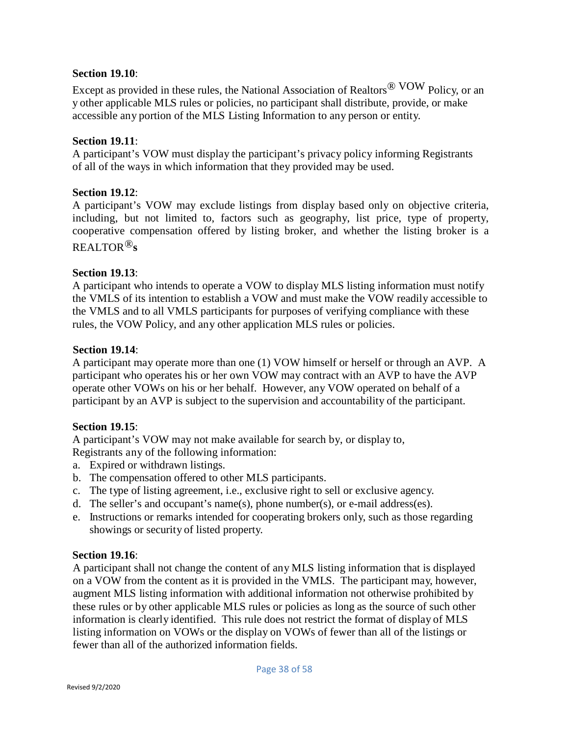#### **Section 19.10**:

Except as provided in these rules, the National Association of Realtors® VOW Policy, or an y other applicable MLS rules or policies, no participant shall distribute, provide, or make accessible any portion of the MLS Listing Information to any person or entity.

## **Section 19.11**:

A participant's VOW must display the participant's privacy policy informing Registrants of all of the ways in which information that they provided may be used.

## **Section 19.12**:

A participant's VOW may exclude listings from display based only on objective criteria, including, but not limited to, factors such as geography, list price, type of property, cooperative compensation offered by listing broker, and whether the listing broker is a REALTOR®**s**

## **Section 19.13**:

A participant who intends to operate a VOW to display MLS listing information must notify the VMLS of its intention to establish a VOW and must make the VOW readily accessible to the VMLS and to all VMLS participants for purposes of verifying compliance with these rules, the VOW Policy, and any other application MLS rules or policies.

## **Section 19.14**:

A participant may operate more than one (1) VOW himself or herself or through an AVP. A participant who operates his or her own VOW may contract with an AVP to have the AVP operate other VOWs on his or her behalf. However, any VOW operated on behalf of a participant by an AVP is subject to the supervision and accountability of the participant.

## **Section 19.15**:

A participant's VOW may not make available for search by, or display to, Registrants any of the following information:

- a. Expired or withdrawn listings.
- b. The compensation offered to other MLS participants.
- c. The type of listing agreement, i.e., exclusive right to sell or exclusive agency.
- d. The seller's and occupant's name(s), phone number(s), or e-mail address(es).
- e. Instructions or remarks intended for cooperating brokers only, such as those regarding showings or security of listed property.

#### **Section 19.16**:

A participant shall not change the content of any MLS listing information that is displayed on a VOW from the content as it is provided in the VMLS. The participant may, however, augment MLS listing information with additional information not otherwise prohibited by these rules or by other applicable MLS rules or policies as long as the source of such other information is clearly identified. This rule does not restrict the format of display of MLS listing information on VOWs or the display on VOWs of fewer than all of the listings or fewer than all of the authorized information fields.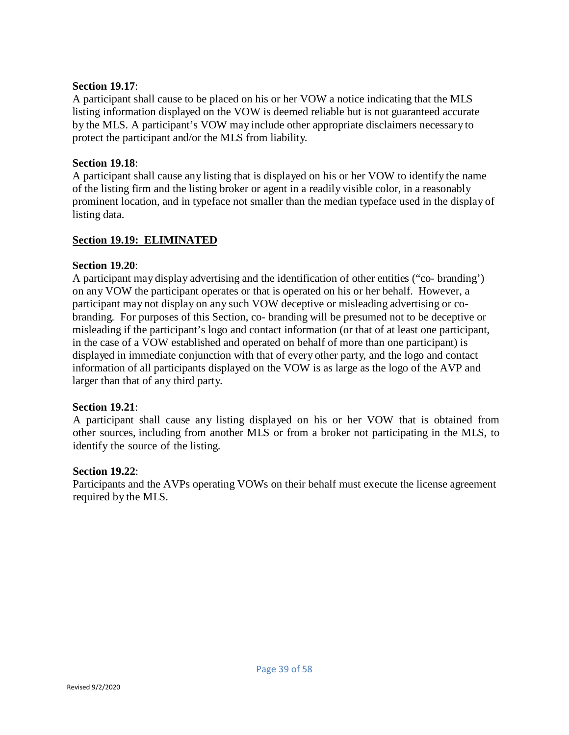## **Section 19.17**:

A participant shall cause to be placed on his or her VOW a notice indicating that the MLS listing information displayed on the VOW is deemed reliable but is not guaranteed accurate by the MLS. A participant's VOW may include other appropriate disclaimers necessary to protect the participant and/or the MLS from liability.

## **Section 19.18**:

A participant shall cause any listing that is displayed on his or her VOW to identify the name of the listing firm and the listing broker or agent in a readily visible color, in a reasonably prominent location, and in typeface not smaller than the median typeface used in the display of listing data.

## **Section 19.19: ELIMINATED**

## **Section 19.20**:

A participant may display advertising and the identification of other entities ("co- branding') on any VOW the participant operates or that is operated on his or her behalf. However, a participant may not display on any such VOW deceptive or misleading advertising or cobranding. For purposes of this Section, co- branding will be presumed not to be deceptive or misleading if the participant's logo and contact information (or that of at least one participant, in the case of a VOW established and operated on behalf of more than one participant) is displayed in immediate conjunction with that of every other party, and the logo and contact information of all participants displayed on the VOW is as large as the logo of the AVP and larger than that of any third party.

## **Section 19.21**:

A participant shall cause any listing displayed on his or her VOW that is obtained from other sources, including from another MLS or from a broker not participating in the MLS, to identify the source of the listing.

## **Section 19.22**:

Participants and the AVPs operating VOWs on their behalf must execute the license agreement required by the MLS.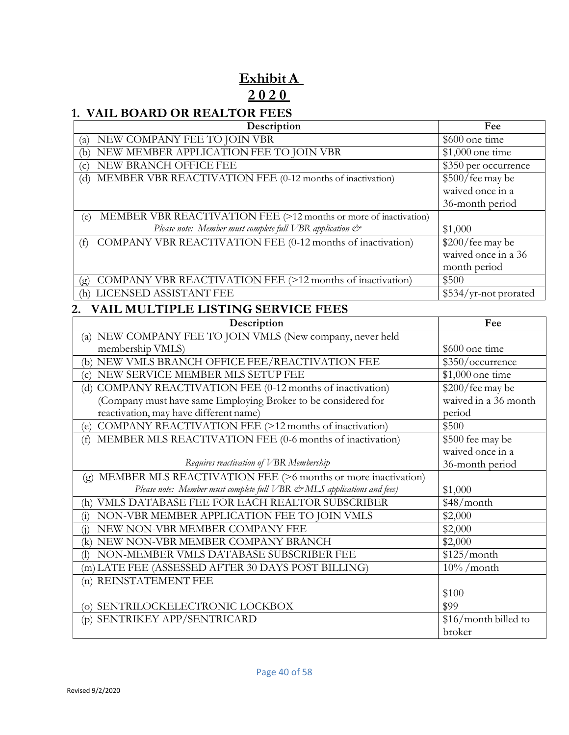# **Exhibit A 2 0 2 0**

# **1. VAIL BOARD OR REALTOR FEES**

| Description                                                             | Fee                          |  |
|-------------------------------------------------------------------------|------------------------------|--|
| NEW COMPANY FEE TO JOIN VBR<br>(a)                                      | \$600 one time               |  |
| NEW MEMBER APPLICATION FEE TO JOIN VBR<br>(b)                           | \$1,000 one time             |  |
| NEW BRANCH OFFICE FEE<br>(c)                                            | $\sqrt{$350}$ per occurrence |  |
| MEMBER VBR REACTIVATION FEE (0-12 months of inactivation)<br>(d)        | \$500/fee may be             |  |
|                                                                         | waived once in a             |  |
|                                                                         | 36-month period              |  |
| MEMBER VBR REACTIVATION FEE (>12 months or more of inactivation)<br>(e) |                              |  |
| Please note: Member must complete full VBR application $\mathcal{C}^*$  | \$1,000                      |  |
| COMPANY VBR REACTIVATION FEE (0-12 months of inactivation)<br>(f)       | \$200/fee may be             |  |
|                                                                         | waived once in a 36          |  |
|                                                                         | month period                 |  |
| COMPANY VBR REACTIVATION FEE (>12 months of inactivation)<br>(g)        | \$500                        |  |
| LICENSED ASSISTANT FEE<br>(h)                                           | \$534/yr-not prorated        |  |
| <b>VAIL MULTIPLE LISTING SERVICE FEES</b><br>2.                         |                              |  |
| Description                                                             | Fee                          |  |
| (a) NEW COMPANY FEE TO JOIN VMLS (New company, never held               |                              |  |
| membership VMLS)                                                        | \$600 one time               |  |
| (b) NEW VMLS BRANCH OFFICE FEE/REACTIVATION FEE                         | \$350/occurrence             |  |
| NEW SERVICE MEMBER MLS SETUP FEE<br>(c)                                 | \$1,000 one time             |  |
| (d) COMPANY REACTIVATION FEE (0-12 months of inactivation)              | \$200/fee may be             |  |
| (Company must have same Employing Broker to be considered for           | waived in a 36 month         |  |
| reactivation, may have different name)                                  | period                       |  |
| COMPANY REACTIVATION FEE (>12 months of inactivation)<br>(e)            | \$500                        |  |
| MEMBER MLS REACTIVATION FEE (0-6 months of inactivation)<br>(f)         | \$500 fee may be             |  |
|                                                                         | waived once in a             |  |
| Requires reactivation of VBR Membership                                 | 36-month period              |  |
| (g) MEMBER MLS REACTIVATION FEE (>6 months or more inactivation)        |                              |  |
| Please note: Member must complete full VBR & MLS applications and fees) | \$1,000                      |  |
| VMLS DATABASE FEE FOR EACH REALTOR SUBSCRIBER<br>(h)                    | \$48/month                   |  |
| NON-VBR MEMBER APPLICATION FEE TO JOIN VMLS<br>(i)                      | \$2,000                      |  |
| NEW NON-VBR MEMBER COMPANY FEE<br>(i)                                   | \$2,000                      |  |
| NEW NON-VBR MEMBER COMPANY BRANCH<br>(k)                                | \$2,000                      |  |
| NON-MEMBER VMLS DATABASE SUBSCRIBER FEE<br>$\left( \mathbf{I}\right)$   | \$125/month                  |  |
| (m) LATE FEE (ASSESSED AFTER 30 DAYS POST BILLING)                      | $10\%$ /month                |  |
| (n) REINSTATEMENT FEE                                                   |                              |  |
|                                                                         | \$100                        |  |
| (o) SENTRILOCKELECTRONIC LOCKBOX                                        | \$99                         |  |
| (p) SENTRIKEY APP/SENTRICARD                                            | \$16/month billed to         |  |

broker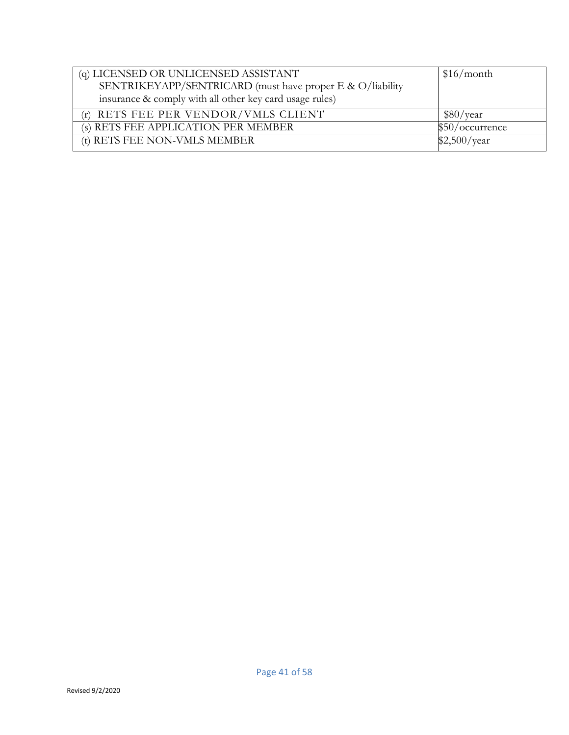| (q) LICENSED OR UNLICENSED ASSISTANT                      | \$16/month      |
|-----------------------------------------------------------|-----------------|
| SENTRIKEYAPP/SENTRICARD (must have proper E & O/liability |                 |
| insurance & comply with all other key card usage rules)   |                 |
| (r) RETS FEE PER VENDOR/VMLS CLIENT                       | \$80/year       |
| (s) RETS FEE APPLICATION PER MEMBER                       | \$50/occurrence |
| (t) RETS FEE NON-VMLS MEMBER                              | \$2,500/year    |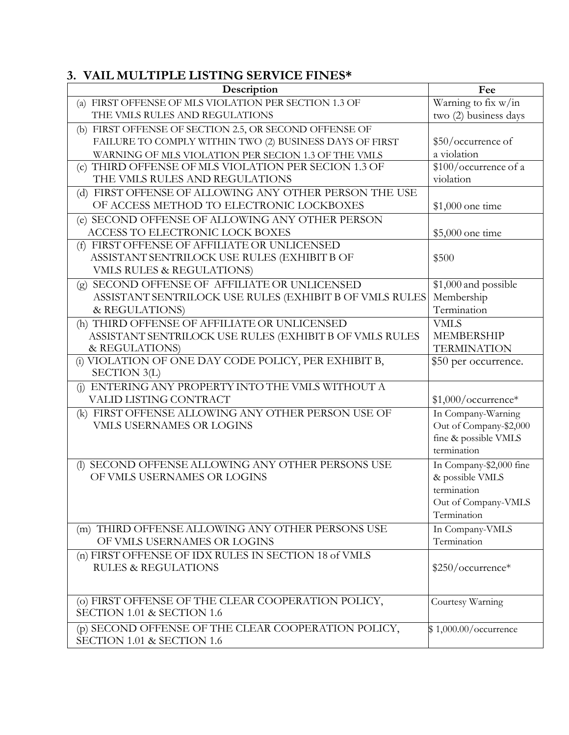# **3. VAIL MULTIPLE LISTING SERVICE FINES\***

| Description                                                                                  | Fee                                |
|----------------------------------------------------------------------------------------------|------------------------------------|
| (a) FIRST OFFENSE OF MLS VIOLATION PER SECTION 1.3 OF                                        | Warning to fix w/in                |
| THE VMLS RULES AND REGULATIONS                                                               | two (2) business days              |
| (b) FIRST OFFENSE OF SECTION 2.5, OR SECOND OFFENSE OF                                       |                                    |
| FAILURE TO COMPLY WITHIN TWO (2) BUSINESS DAYS OF FIRST                                      | \$50/occurrence of                 |
| WARNING OF MLS VIOLATION PER SECION 1.3 OF THE VMLS                                          | a violation                        |
| (c) THIRD OFFENSE OF MLS VIOLATION PER SECION 1.3 OF                                         | \$100/occurrence of a              |
| THE VMLS RULES AND REGULATIONS                                                               | violation                          |
| (d) FIRST OFFENSE OF ALLOWING ANY OTHER PERSON THE USE                                       |                                    |
| OF ACCESS METHOD TO ELECTRONIC LOCKBOXES                                                     | $$1,000$ one time                  |
| (e) SECOND OFFENSE OF ALLOWING ANY OTHER PERSON                                              |                                    |
| ACCESS TO ELECTRONIC LOCK BOXES                                                              | $$5,000$ one time                  |
| (f) FIRST OFFENSE OF AFFILIATE OR UNLICENSED<br>ASSISTANT SENTRILOCK USE RULES (EXHIBIT B OF |                                    |
| VMLS RULES & REGULATIONS)                                                                    | \$500                              |
| (g) SECOND OFFENSE OF AFFILIATE OR UNLICENSED                                                | \$1,000 and possible               |
| ASSISTANT SENTRILOCK USE RULES (EXHIBIT B OF VMLS RULES                                      | Membership                         |
| & REGULATIONS)                                                                               | Termination                        |
| (h) THIRD OFFENSE OF AFFILIATE OR UNLICENSED                                                 | <b>VMLS</b>                        |
| ASSISTANT SENTRILOCK USE RULES (EXHIBIT B OF VMLS RULES                                      | <b>MEMBERSHIP</b>                  |
| & REGULATIONS)                                                                               | <b>TERMINATION</b>                 |
| (i) VIOLATION OF ONE DAY CODE POLICY, PER EXHIBIT B,                                         | \$50 per occurrence.               |
| SECTION 3(L)                                                                                 |                                    |
| ENTERING ANY PROPERTY INTO THE VMLS WITHOUT A<br>(i)                                         |                                    |
| VALID LISTING CONTRACT                                                                       | $$1,000/occurrence*$               |
| (k) FIRST OFFENSE ALLOWING ANY OTHER PERSON USE OF                                           | In Company-Warning                 |
| <b>VMLS USERNAMES OR LOGINS</b>                                                              | Out of Company-\$2,000             |
|                                                                                              | fine & possible VMLS               |
|                                                                                              | termination                        |
| SECOND OFFENSE ALLOWING ANY OTHER PERSONS USE<br>(1)                                         | In Company-\$2,000 fine            |
| OF VMLS USERNAMES OR LOGINS                                                                  | & possible VMLS                    |
|                                                                                              | termination                        |
|                                                                                              | Out of Company-VMLS<br>Termination |
|                                                                                              |                                    |
| (m) THIRD OFFENSE ALLOWING ANY OTHER PERSONS USE<br>OF VMLS USERNAMES OR LOGINS              | In Company-VMLS<br>Termination     |
|                                                                                              |                                    |
| (n) FIRST OFFENSE OF IDX RULES IN SECTION 18 of VMLS<br><b>RULES &amp; REGULATIONS</b>       | \$250/occurrence*                  |
|                                                                                              |                                    |
|                                                                                              |                                    |
| (o) FIRST OFFENSE OF THE CLEAR COOPERATION POLICY,                                           | Courtesy Warning                   |
| SECTION 1.01 & SECTION 1.6                                                                   |                                    |
| (p) SECOND OFFENSE OF THE CLEAR COOPERATION POLICY,                                          | \$1,000.00/occurrence              |
| SECTION 1.01 & SECTION 1.6                                                                   |                                    |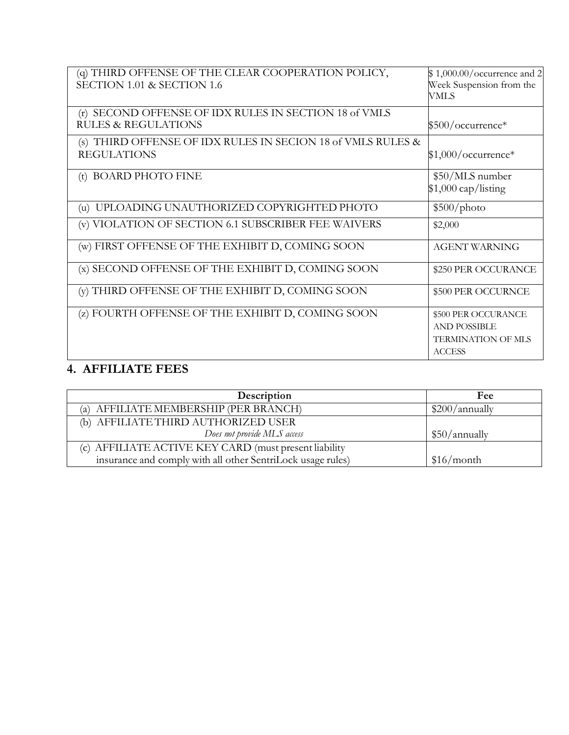| (q) THIRD OFFENSE OF THE CLEAR COOPERATION POLICY,<br>SECTION 1.01 & SECTION 1.6           | $$1,000.00/\text{occurrence}$ and 2<br>Week Suspension from the<br>VMLS                  |
|--------------------------------------------------------------------------------------------|------------------------------------------------------------------------------------------|
| SECOND OFFENSE OF IDX RULES IN SECTION 18 of VMLS<br>(r)<br><b>RULES &amp; REGULATIONS</b> | $$500/occurrence*$                                                                       |
| (s) THIRD OFFENSE OF IDX RULES IN SECION 18 of VMLS RULES &<br><b>REGULATIONS</b>          | $$1,000/occurrence*$                                                                     |
| (t) BOARD PHOTO FINE                                                                       | \$50/MLS number<br>$$1,000$ cap/listing                                                  |
| UPLOADING UNAUTHORIZED COPYRIGHTED PHOTO<br>(u)                                            | \$500/photo                                                                              |
| (v) VIOLATION OF SECTION 6.1 SUBSCRIBER FEE WAIVERS                                        | \$2,000                                                                                  |
| (w) FIRST OFFENSE OF THE EXHIBIT D, COMING SOON                                            | <b>AGENT WARNING</b>                                                                     |
| (x) SECOND OFFENSE OF THE EXHIBIT D, COMING SOON                                           | \$250 PER OCCURANCE                                                                      |
| (y) THIRD OFFENSE OF THE EXHIBIT D, COMING SOON                                            | \$500 PER OCCURNCE                                                                       |
| (z) FOURTH OFFENSE OF THE EXHIBIT D, COMING SOON                                           | \$500 PER OCCURANCE<br><b>AND POSSIBLE</b><br><b>TERMINATION OF MLS</b><br><b>ACCESS</b> |

# **4. AFFILIATE FEES**

| Description                                                 | Fee            |
|-------------------------------------------------------------|----------------|
| (a) AFFILIATE MEMBERSHIP (PER BRANCH)                       | \$200/annually |
| (b) AFFILIATE THIRD AUTHORIZED USER                         |                |
| Does not provide MLS access                                 | \$50/annually  |
| (c) AFFILIATE ACTIVE KEY CARD (must present liability       |                |
| insurance and comply with all other SentriLock usage rules) | \$16/month     |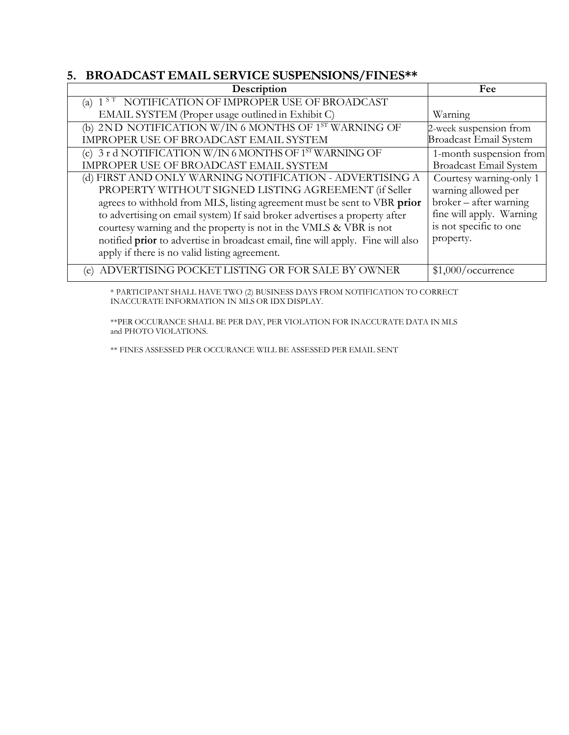# **5. BROADCAST EMAIL SERVICE SUSPENSIONS/FINES\*\***

| Description                                                                     | Fee                           |
|---------------------------------------------------------------------------------|-------------------------------|
| NOTIFICATION OF IMPROPER USE OF BROADCAST<br>$1^{S_T}$<br>(a)                   |                               |
| EMAIL SYSTEM (Proper usage outlined in Exhibit C)                               | Warning                       |
| (b) 2ND NOTIFICATION W/IN 6 MONTHS OF 1 <sup>ST</sup> WARNING OF                | 2-week suspension from        |
| IMPROPER USE OF BROADCAST EMAIL SYSTEM                                          | <b>Broadcast Email System</b> |
| (c) 3 r d NOTIFICATION W/IN 6 MONTHS OF 1 <sup>ST</sup> WARNING OF              | 1-month suspension from       |
| IMPROPER USE OF BROADCAST EMAIL SYSTEM                                          | <b>Broadcast Email System</b> |
| (d) FIRST AND ONLY WARNING NOTIFICATION - ADVERTISING A                         | Courtesy warning-only 1       |
| PROPERTY WITHOUT SIGNED LISTING AGREEMENT (if Seller                            | warning allowed per           |
| agrees to withhold from MLS, listing agreement must be sent to VBR prior        | broker – after warning        |
| to advertising on email system) If said broker advertises a property after      | fine will apply. Warning      |
| courtesy warning and the property is not in the VMLS & VBR is not               | is not specific to one        |
| notified prior to advertise in broadcast email, fine will apply. Fine will also | property.                     |
| apply if there is no valid listing agreement.                                   |                               |
| (e) ADVERTISING POCKET LISTING OR FOR SALE BY OWNER                             | \$1,000/occurrence            |

\* PARTICIPANT SHALL HAVE TWO (2) BUSINESS DAYS FROM NOTIFICATION TO CORRECT INACCURATE INFORMATION IN MLS OR IDX DISPLAY.

\*\*PER OCCURANCE SHALL BE PER DAY, PER VIOLATION FOR INACCURATE DATA IN MLS and PHOTO VIOLATIONS.

\*\* FINES ASSESSED PER OCCURANCE WILL BE ASSESSED PER EMAIL SENT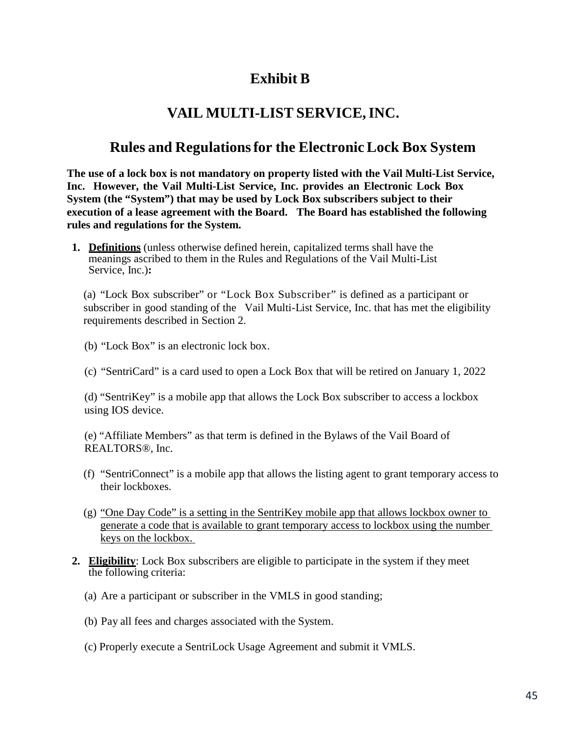# **Exhibit B**

# **VAIL MULTI-LIST SERVICE,INC.**

# **Rules and Regulationsfor the ElectronicLock Box System**

**The use of a lock box is not mandatory on property listed with the Vail Multi-List Service, Inc. However, the Vail Multi-List Service, Inc. provides an Electronic Lock Box System (the "System") that may be used by Lock Box subscribers subject to their execution of a lease agreement with the Board. The Board has established the following rules and regulations for the System.**

**1. Definitions** (unless otherwise defined herein, capitalized terms shall have the meanings ascribed to them in the Rules and Regulations of the Vail Multi-List Service, Inc.)**:**

(a) "Lock Box subscriber" or "Lock Box Subscriber" is defined as a participant or subscriber in good standing of the Vail Multi-List Service, Inc. that has met the eligibility requirements described in Section 2.

- (b) "Lock Box" is an electronic lock box.
- (c) "SentriCard" is a card used to open a Lock Box that will be retired on January 1, 2022

(d) "SentriKey" is a mobile app that allows the Lock Box subscriber to access a lockbox using IOS device.

(e) "Affiliate Members" as that term is defined in the Bylaws of the Vail Board of REALTORS®, Inc.

- (f) "SentriConnect" is a mobile app that allows the listing agent to grant temporary access to their lockboxes.
- (g) "One Day Code" is a setting in the SentriKey mobile app that allows lockbox owner to generate a code that is available to grant temporary access to lockbox using the number keys on the lockbox.
- **2. Eligibility**: Lock Box subscribers are eligible to participate in the system if they meet the following criteria:
	- (a) Are a participant or subscriber in the VMLS in good standing;
	- (b) Pay all fees and charges associated with the System.
	- (c) Properly execute a SentriLock Usage Agreement and submit it VMLS.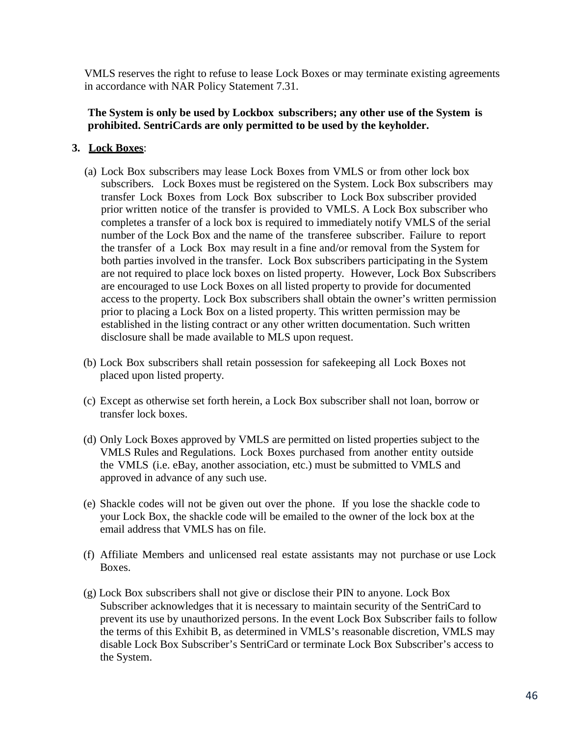VMLS reserves the right to refuse to lease Lock Boxes or may terminate existing agreements in accordance with NAR Policy Statement 7.31.

## **The System is only be used by Lockbox subscribers; any other use of the System is prohibited. SentriCards are only permitted to be used by the keyholder.**

## **3. Lock Boxes**:

- (a) Lock Box subscribers may lease Lock Boxes from VMLS or from other lock box subscribers. Lock Boxes must be registered on the System. Lock Box subscribers may transfer Lock Boxes from Lock Box subscriber to Lock Box subscriber provided prior written notice of the transfer is provided to VMLS. A Lock Box subscriber who completes a transfer of a lock box is required to immediately notify VMLS of the serial number of the Lock Box and the name of the transferee subscriber. Failure to report the transfer of a Lock Box may result in a fine and/or removal from the System for both parties involved in the transfer. Lock Box subscribers participating in the System are not required to place lock boxes on listed property. However, Lock Box Subscribers are encouraged to use Lock Boxes on all listed property to provide for documented access to the property. Lock Box subscribers shall obtain the owner's written permission prior to placing a Lock Box on a listed property. This written permission may be established in the listing contract or any other written documentation. Such written disclosure shall be made available to MLS upon request.
- (b) Lock Box subscribers shall retain possession for safekeeping all Lock Boxes not placed upon listed property.
- (c) Except as otherwise set forth herein, a Lock Box subscriber shall not loan, borrow or transfer lock boxes.
- (d) Only Lock Boxes approved by VMLS are permitted on listed properties subject to the VMLS Rules and Regulations. Lock Boxes purchased from another entity outside the VMLS (i.e. eBay, another association, etc.) must be submitted to VMLS and approved in advance of any such use.
- (e) Shackle codes will not be given out over the phone. If you lose the shackle code to your Lock Box, the shackle code will be emailed to the owner of the lock box at the email address that VMLS has on file.
- (f) Affiliate Members and unlicensed real estate assistants may not purchase or use Lock Boxes.
- (g) Lock Box subscribers shall not give or disclose their PIN to anyone. Lock Box Subscriber acknowledges that it is necessary to maintain security of the SentriCard to prevent its use by unauthorized persons. In the event Lock Box Subscriber fails to follow the terms of this Exhibit B, as determined in VMLS's reasonable discretion, VMLS may disable Lock Box Subscriber's SentriCard or terminate Lock Box Subscriber's access to the System.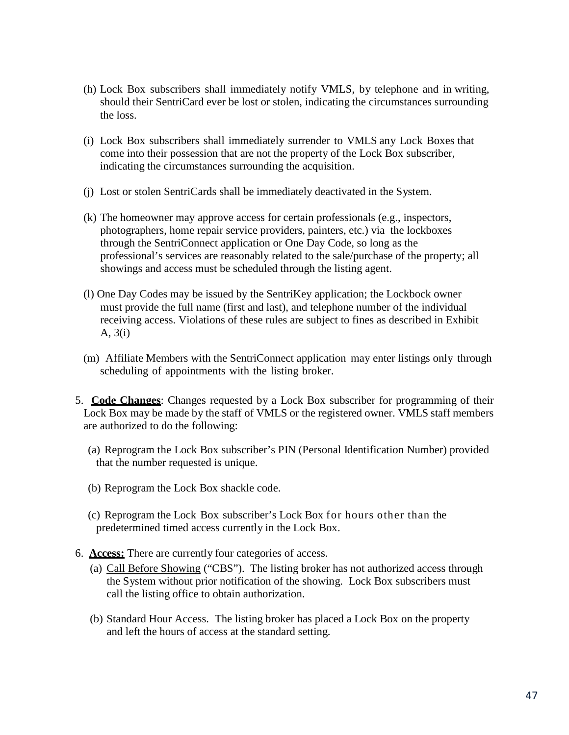- (h) Lock Box subscribers shall immediately notify VMLS, by telephone and in writing, should their SentriCard ever be lost or stolen, indicating the circumstances surrounding the loss.
- (i) Lock Box subscribers shall immediately surrender to VMLS any Lock Boxes that come into their possession that are not the property of the Lock Box subscriber, indicating the circumstances surrounding the acquisition.
- (j) Lost or stolen SentriCards shall be immediately deactivated in the System.
- (k) The homeowner may approve access for certain professionals (e.g., inspectors, photographers, home repair service providers, painters, etc.) via the lockboxes through the SentriConnect application or One Day Code, so long as the professional's services are reasonably related to the sale/purchase of the property; all showings and access must be scheduled through the listing agent.
- (l) One Day Codes may be issued by the SentriKey application; the Lockbock owner must provide the full name (first and last), and telephone number of the individual receiving access. Violations of these rules are subject to fines as described in Exhibit A, 3(i)
- (m) Affiliate Members with the SentriConnect application may enter listings only through scheduling of appointments with the listing broker.
- 5. **Code Changes**: Changes requested by a Lock Box subscriber for programming of their Lock Box may be made by the staff of VMLS or the registered owner. VMLS staff members are authorized to do the following:
	- (a) Reprogram the Lock Box subscriber's PIN (Personal Identification Number) provided that the number requested is unique.
	- (b) Reprogram the Lock Box shackle code.
	- (c) Reprogram the Lock Box subscriber's Lock Box for hours other than the predetermined timed access currently in the Lock Box.
- 6. **Access:** There are currently four categories of access.
	- (a) Call Before Showing ("CBS"). The listing broker has not authorized access through the System without prior notification of the showing. Lock Box subscribers must call the listing office to obtain authorization.
	- (b) Standard Hour Access. The listing broker has placed a Lock Box on the property and left the hours of access at the standard setting.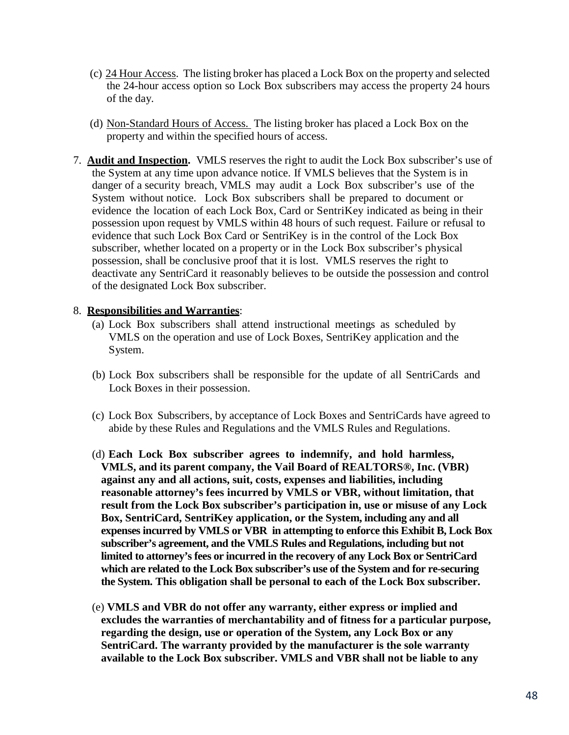- (c) 24 Hour Access. The listing broker has placed a Lock Box on the property and selected the 24-hour access option so Lock Box subscribers may access the property 24 hours of the day.
- (d) Non-Standard Hours of Access. The listing broker has placed a Lock Box on the property and within the specified hours of access.
- 7. **Audit and Inspection.** VMLS reserves the right to audit the Lock Box subscriber's use of the System at any time upon advance notice. If VMLS believes that the System is in danger of a security breach, VMLS may audit a Lock Box subscriber's use of the System without notice. Lock Box subscribers shall be prepared to document or evidence the location of each Lock Box, Card or SentriKey indicated as being in their possession upon request by VMLS within 48 hours of such request. Failure or refusal to evidence that such Lock Box Card or SentriKey is in the control of the Lock Box subscriber, whether located on a property or in the Lock Box subscriber's physical possession, shall be conclusive proof that it is lost. VMLS reserves the right to deactivate any SentriCard it reasonably believes to be outside the possession and control of the designated Lock Box subscriber.

## 8. **Responsibilities and Warranties**:

- (a) Lock Box subscribers shall attend instructional meetings as scheduled by VMLS on the operation and use of Lock Boxes, SentriKey application and the System.
- (b) Lock Box subscribers shall be responsible for the update of all SentriCards and Lock Boxes in their possession.
- (c) Lock Box Subscribers, by acceptance of Lock Boxes and SentriCards have agreed to abide by these Rules and Regulations and the VMLS Rules and Regulations.
- (d) **Each Lock Box subscriber agrees to indemnify, and hold harmless, VMLS, and its parent company, the Vail Board of REALTORS®, Inc. (VBR) against any and all actions, suit, costs, expenses and liabilities, including reasonable attorney's fees incurred by VMLS or VBR, without limitation, that result from the Lock Box subscriber's participation in, use or misuse of any Lock Box, SentriCard, SentriKey application, or the System, including any and all expenses incurred by VMLS or VBR in attempting to enforce this Exhibit B, Lock Box subscriber's agreement, and the VMLS Rules and Regulations, including but not limited to attorney's fees or incurred in the recovery of any Lock Box or SentriCard which are related to the Lock Box subscriber's use of the System and for re-securing the System. This obligation shall be personal to each of the Lock Box subscriber.**
- (e) **VMLS and VBR do not offer any warranty, either express or implied and excludes the warranties of merchantability and of fitness for a particular purpose, regarding the design, use or operation of the System, any Lock Box or any SentriCard. The warranty provided by the manufacturer is the sole warranty available to the Lock Box subscriber. VMLS and VBR shall not be liable to any**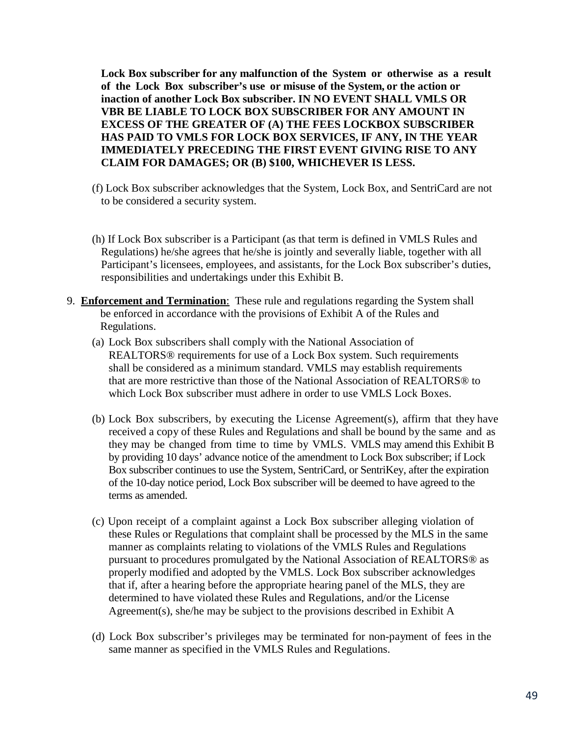**Lock Box subscriber for any malfunction of the System or otherwise as a result of the Lock Box subscriber's use or misuse of the System, or the action or inaction of another Lock Box subscriber. IN NO EVENT SHALL VMLS OR VBR BE LIABLE TO LOCK BOX SUBSCRIBER FOR ANY AMOUNT IN EXCESS OF THE GREATER OF (A) THE FEES LOCKBOX SUBSCRIBER HAS PAID TO VMLS FOR LOCK BOX SERVICES, IF ANY, IN THE YEAR IMMEDIATELY PRECEDING THE FIRST EVENT GIVING RISE TO ANY CLAIM FOR DAMAGES; OR (B) \$100, WHICHEVER IS LESS.**

- (f) Lock Box subscriber acknowledges that the System, Lock Box, and SentriCard are not to be considered a security system.
- (h) If Lock Box subscriber is a Participant (as that term is defined in VMLS Rules and Regulations) he/she agrees that he/she is jointly and severally liable, together with all Participant's licensees, employees, and assistants, for the Lock Box subscriber's duties, responsibilities and undertakings under this Exhibit B.
- 9. **Enforcement and Termination**: These rule and regulations regarding the System shall be enforced in accordance with the provisions of Exhibit A of the Rules and Regulations.
	- (a) Lock Box subscribers shall comply with the National Association of REALTORS® requirements for use of a Lock Box system. Such requirements shall be considered as a minimum standard. VMLS may establish requirements that are more restrictive than those of the National Association of REALTORS® to which Lock Box subscriber must adhere in order to use VMLS Lock Boxes.
	- (b) Lock Box subscribers, by executing the License Agreement(s), affirm that they have received a copy of these Rules and Regulations and shall be bound by the same and as they may be changed from time to time by VMLS. VMLS may amend this Exhibit B by providing 10 days' advance notice of the amendment to Lock Box subscriber; if Lock Box subscriber continues to use the System, SentriCard, or SentriKey, after the expiration of the 10-day notice period, Lock Box subscriber will be deemed to have agreed to the terms as amended.
	- (c) Upon receipt of a complaint against a Lock Box subscriber alleging violation of these Rules or Regulations that complaint shall be processed by the MLS in the same manner as complaints relating to violations of the VMLS Rules and Regulations pursuant to procedures promulgated by the National Association of REALTORS® as properly modified and adopted by the VMLS. Lock Box subscriber acknowledges that if, after a hearing before the appropriate hearing panel of the MLS, they are determined to have violated these Rules and Regulations, and/or the License Agreement(s), she/he may be subject to the provisions described in Exhibit A
	- (d) Lock Box subscriber's privileges may be terminated for non-payment of fees in the same manner as specified in the VMLS Rules and Regulations.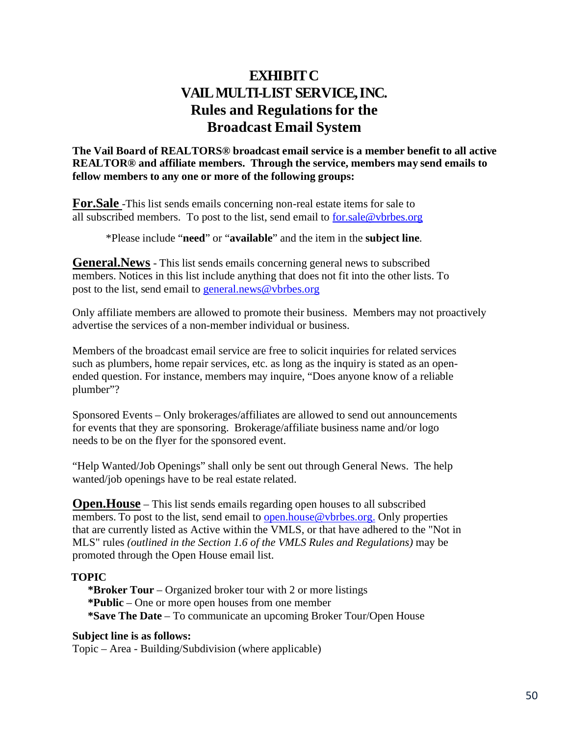# **EXHIBITC VAILMULTI-LIST SERVICE,INC. Rules and Regulationsfor the Broadcast Email System**

**The Vail Board of REALTORS® broadcast email service is a member benefit to all active REALTOR® and affiliate members. Through the service, members may send emails to fellow members to any one or more of the following groups:**

**For.Sale** -This list sends emails concerning non-real estate items for sale to all subscribed members. To post to the list, send email to [for.sale@vbrbes.org](mailto:for.sale@vbrbes.org)

\*Please include "**need**" or "**available**" and the item in the **subject line**.

**General.News** - This list sends emails concerning general news to subscribed members. Notices in this list include anything that does not fit into the other lists. To post to the list, send email to [general.news@vbrbes.org](mailto:general.news@vbrbes.org)

Only affiliate members are allowed to promote their business. Members may not proactively advertise the services of a non-member individual or business.

Members of the broadcast email service are free to solicit inquiries for related services such as plumbers, home repair services, etc. as long as the inquiry is stated as an openended question. For instance, members may inquire, "Does anyone know of a reliable plumber"?

Sponsored Events – Only brokerages/affiliates are allowed to send out announcements for events that they are sponsoring. Brokerage/affiliate business name and/or logo needs to be on the flyer for the sponsored event.

"Help Wanted/Job Openings" shall only be sent out through General News. The help wanted/job openings have to be real estate related.

**Open.House** – This list sends emails regarding open houses to all subscribed members. To post to the list, send email to [open.house@vbrbes.org.](mailto:open.house@mtnmls.com) Only properties that are currently listed as Active within the VMLS, or that have adhered to the "Not in MLS" rules *(outlined in the Section 1.6 of the VMLS Rules and Regulations)* may be promoted through the Open House email list.

## **TOPIC**

**\*Broker Tour** – Organized broker tour with 2 or more listings **\*Public** – One or more open houses from one member **\*Save The Date** – To communicate an upcoming Broker Tour/Open House

## **Subject line is as follows:**

Topic – Area - Building/Subdivision (where applicable)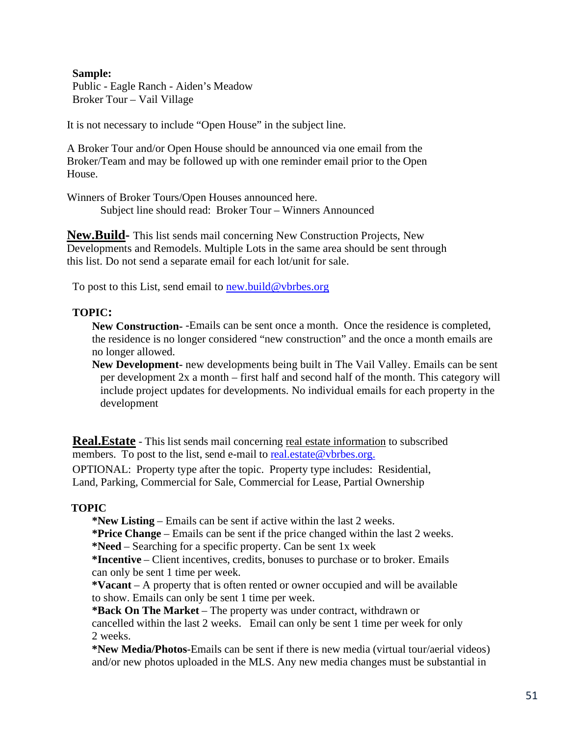#### **Sample:**

Public - Eagle Ranch - Aiden's Meadow Broker Tour – Vail Village

It is not necessary to include "Open House" in the subject line.

A Broker Tour and/or Open House should be announced via one email from the Broker/Team and may be followed up with one reminder email prior to the Open House.

Winners of Broker Tours/Open Houses announced here. Subject line should read: Broker Tour – Winners Announced

**New.Build-** This list sends mail concerning New Construction Projects, New Developments and Remodels. Multiple Lots in the same area should be sent through this list. Do not send a separate email for each lot/unit for sale.

To post to this List, send email to [new.build@vbrbes.org](mailto:new.build@vbrbes.org)

## **TOPIC:**

**New Construction-** -Emails can be sent once a month. Once the residence is completed, the residence is no longer considered "new construction" and the once a month emails are no longer allowed.

**New Development-** new developments being built in The Vail Valley. Emails can be sent per development 2x a month – first half and second half of the month. This category will include project updates for developments. No individual emails for each property in the development

**Real. Estate** - This list sends mail concerning <u>real estate information</u> to subscribed members. To post to the list, send e-mail to [real.estate@vbrbes.org.](mailto:real.estate@vbrbes.org) OPTIONAL: Property type after the topic. Property type includes: Residential, Land, Parking, Commercial for Sale, Commercial for Lease, Partial Ownership

## **TOPIC**

**\*New Listing** – Emails can be sent if active within the last 2 weeks.

**\*Price Change** – Emails can be sent if the price changed within the last 2 weeks.

**\*Need** – Searching for a specific property. Can be sent 1x week

**\*Incentive** – Client incentives, credits, bonuses to purchase or to broker. Emails can only be sent 1 time per week.

**\*Vacant** – A property that is often rented or owner occupied and will be available to show. Emails can only be sent 1 time per week.

**\*Back On The Market** – The property was under contract, withdrawn or cancelled within the last 2 weeks. Email can only be sent 1 time per week for only 2 weeks.

**\*New Media/Photos**-Emails can be sent if there is new media (virtual tour/aerial videos) and/or new photos uploaded in the MLS. Any new media changes must be substantial in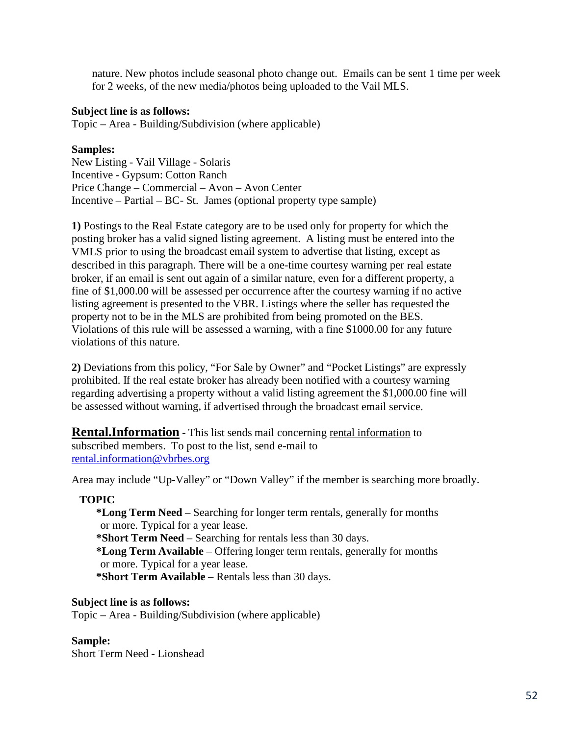nature. New photos include seasonal photo change out. Emails can be sent 1 time per week for 2 weeks, of the new media/photos being uploaded to the Vail MLS.

#### **Subject line is as follows:**

Topic – Area - Building/Subdivision (where applicable)

## **Samples:**

New Listing - Vail Village - Solaris Incentive - Gypsum: Cotton Ranch Price Change – Commercial – Avon – Avon Center Incentive – Partial – BC- St. James (optional property type sample)

**1)** Postings to the Real Estate category are to be used only for property for which the posting broker has a valid signed listing agreement. A listing must be entered into the VMLS prior to using the broadcast email system to advertise that listing, except as described in this paragraph. There will be a one-time courtesy warning per real estate broker, if an email is sent out again of a similar nature, even for a different property, a fine of \$1,000.00 will be assessed per occurrence after the courtesy warning if no active listing agreement is presented to the VBR. Listings where the seller has requested the property not to be in the MLS are prohibited from being promoted on the BES. Violations of this rule will be assessed a warning, with a fine \$1000.00 for any future violations of this nature.

**2)** Deviations from this policy, "For Sale by Owner" and "Pocket Listings" are expressly prohibited. If the real estate broker has already been notified with a courtesy warning regarding advertising a property without a valid listing agreement the \$1,000.00 fine will be assessed without warning, if advertised through the broadcast email service.

**Rental.Information** - This list sends mail concerning rental information to subscribed members. To post to the list, send e-mail to [rental.information@vbrbes.org](mailto:rental.information@vbrbes.org)

Area may include "Up-Valley" or "Down Valley" if the member is searching more broadly.

## **TOPIC**

**\*Long Term Need** – Searching for longer term rentals, generally for months or more. Typical for a year lease. **\*Short Term Need** – Searching for rentals less than 30 days. **\*Long Term Available** – Offering longer term rentals, generally for months or more. Typical for a year lease. **\*Short Term Available** – Rentals less than 30 days.

#### **Subject line is as follows:**

Topic – Area - Building/Subdivision (where applicable)

## **Sample:**

Short Term Need - Lionshead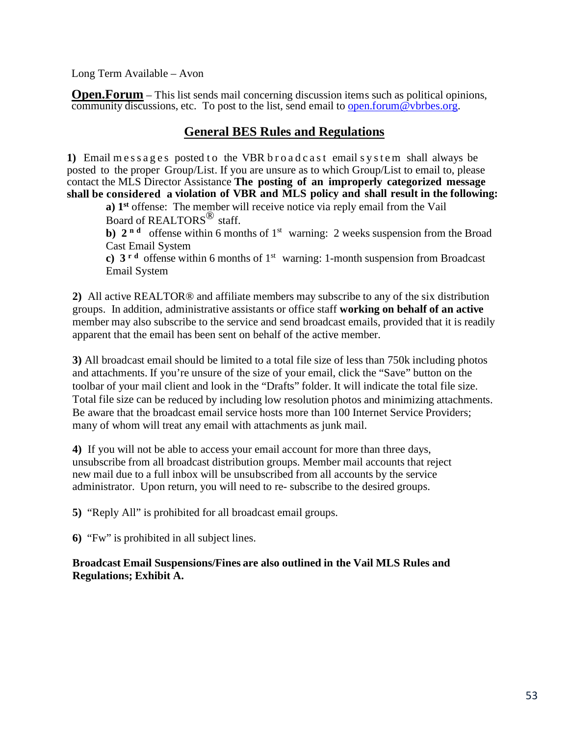Long Term Available – Avon

**Open.Forum** – This list sends mail concerning discussion items such as political [opin](mailto:open.forum@mtnmls.com)ions, community discussions, etc. To post to the list, send email to open.forum@vbrbes.org.

# **General BES Rules and Regulations**

**1)** Email messages posted to the VBR broadcast email system shall always be posted to the proper Group/List. If you are unsure as to which Group/List to email to, please contact the MLS Director Assistance **The posting of an improperly categorized message shall be considered a violation of VBR and MLS policy and shall result in the following:**

**a) 1st** offense: The member will receive notice via reply email from the Vail Board of REALTORS<sup>®</sup> staff.

**b)**  $2^{n}$  **d** offense within 6 months of 1<sup>st</sup> warning: 2 weeks suspension from the Broad Cast Email System

**c)**  $3^{r d}$  offense within 6 months of 1<sup>st</sup> warning: 1-month suspension from Broadcast Email System

**2)** All active REALTOR® and affiliate members may subscribe to any of the six distribution groups. In addition, administrative assistants or office staff **working on behalf of an active**  member may also subscribe to the service and send broadcast emails, provided that it is readily apparent that the email has been sent on behalf of the active member.

**3)** All broadcast email should be limited to a total file size of less than 750k including photos and attachments. If you're unsure of the size of your email, click the "Save" button on the toolbar of your mail client and look in the "Drafts" folder. It will indicate the total file size. Total file size can be reduced by including low resolution photos and minimizing attachments. Be aware that the broadcast email service hosts more than 100 Internet Service Providers; many of whom will treat any email with attachments as junk mail.

**4)** If you will not be able to access your email account for more than three days, unsubscribe from all broadcast distribution groups. Member mail accounts that reject new mail due to a full inbox will be unsubscribed from all accounts by the service administrator. Upon return, you will need to re- subscribe to the desired groups.

**5)** "Reply All" is prohibited for all broadcast email groups.

**6)** "Fw" is prohibited in all subject lines.

**Broadcast Email Suspensions/Fines are also outlined in the Vail MLS Rules and Regulations; Exhibit A.**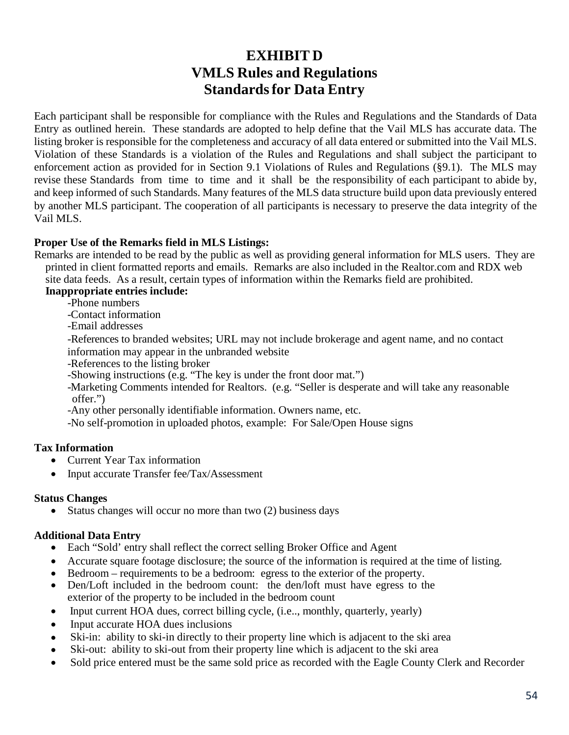# **EXHIBIT D VMLS Rules and Regulations Standards for Data Entry**

Each participant shall be responsible for compliance with the Rules and Regulations and the Standards of Data Entry as outlined herein. These standards are adopted to help define that the Vail MLS has accurate data. The listing broker is responsible for the completeness and accuracy of all data entered or submitted into the Vail MLS. Violation of these Standards is a violation of the Rules and Regulations and shall subject the participant to enforcement action as provided for in Section 9.1 Violations of Rules and Regulations (§9.1). The MLS may revise these Standards from time to time and it shall be the responsibility of each participant to abide by, and keep informed of such Standards. Many features of the MLS data structure build upon data previously entered by another MLS participant. The cooperation of all participants is necessary to preserve the data integrity of the Vail MLS.

## **Proper Use of the Remarks field in MLS Listings:**

 Remarks are intended to be read by the public as well as providing general information for MLS users. They are printed in client formatted reports and emails. Remarks are also included in the Realtor.com and RDX web site data feeds. As a result, certain types of information within the Remarks field are prohibited.

# **Inappropriate entries include:**

-Phone numbers

-Contact information

-Email addresses

-References to branded websites; URL may not include brokerage and agent name, and no contact

information may appear in the unbranded website

-References to the listing broker

-Showing instructions (e.g. "The key is under the front door mat.")

-Marketing Comments intended for Realtors. (e.g. "Seller is desperate and will take any reasonable offer.")

-Any other personally identifiable information. Owners name, etc.

-No self-promotion in uploaded photos, example: For Sale/Open House signs

## **Tax Information**

- Current Year Tax information
- Input accurate Transfer fee/Tax/Assessment

## **Status Changes**

Status changes will occur no more than two (2) business days

## **Additional Data Entry**

- Each "Sold" entry shall reflect the correct selling Broker Office and Agent
- Accurate square footage disclosure; the source of the information is required at the time of listing.
- Bedroom requirements to be a bedroom: egress to the exterior of the property.
- Den/Loft included in the bedroom count: the den/loft must have egress to the exterior of the property to be included in the bedroom count
- Input current HOA dues, correct billing cycle, (i.e.., monthly, quarterly, yearly)
- Input accurate HOA dues inclusions
- Ski-in: ability to ski-in directly to their property line which is adjacent to the ski area
- Ski-out: ability to ski-out from their property line which is adjacent to the ski area
- Sold price entered must be the same sold price as recorded with the Eagle County Clerk and Recorder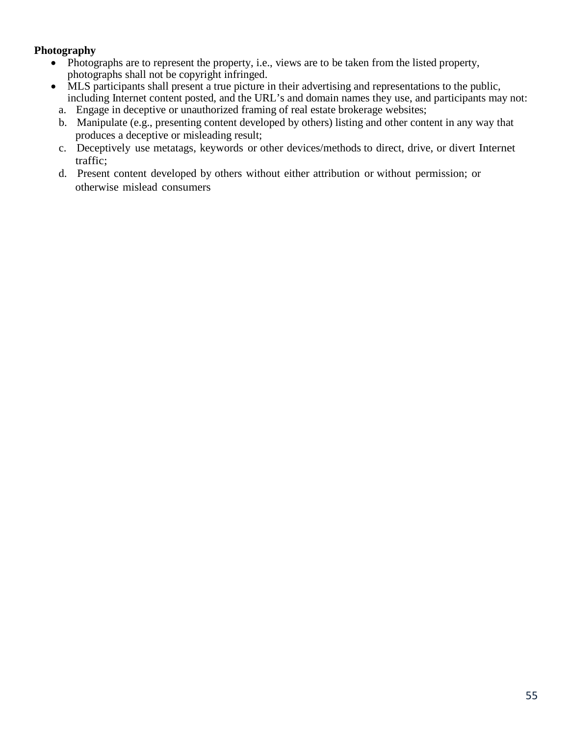## **Photography**

- Photographs are to represent the property, i.e., views are to be taken from the listed property, photographs shall not be copyright infringed.
- MLS participants shall present a true picture in their advertising and representations to the public, including Internet content posted, and the URL's and domain names they use, and participants may not:
	- a. Engage in deceptive or unauthorized framing of real estate brokerage websites;
	- b. Manipulate (e.g., presenting content developed by others) listing and other content in any way that produces a deceptive or misleading result;
	- c. Deceptively use metatags, keywords or other devices/methods to direct, drive, or divert Internet traffic;
	- d. Present content developed by others without either attribution or without permission; or otherwise mislead consumers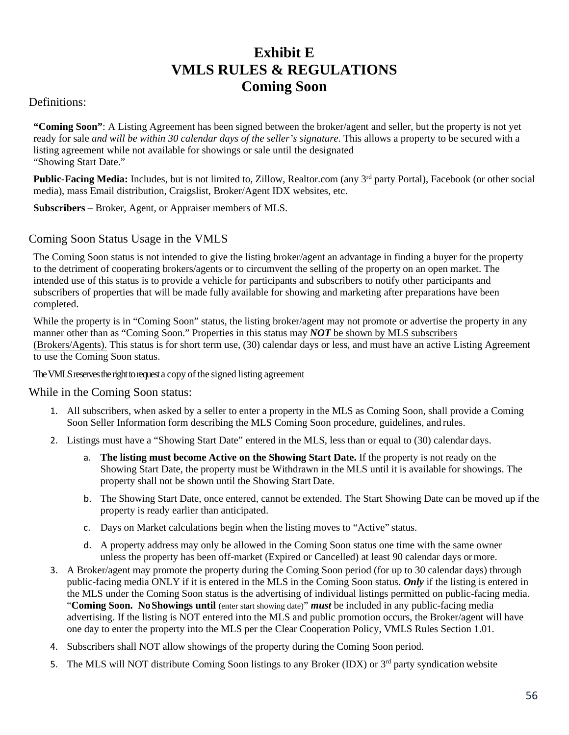# **Exhibit E VMLS RULES & REGULATIONS Coming Soon**

## Definitions:

**"Coming Soon"**: A Listing Agreement has been signed between the broker/agent and seller, but the property is not yet ready for sale *and will be within 30 calendar days of the seller's signature*. This allows a property to be secured with a listing agreement while not available for showings or sale until the designated "Showing Start Date."

Public-Facing Media: Includes, but is not limited to, Zillow, Realtor.com (any 3<sup>rd</sup> party Portal), Facebook (or other social media), mass Email distribution, Craigslist, Broker/Agent IDX websites, etc.

**Subscribers –** Broker, Agent, or Appraiser members of MLS.

# Coming Soon Status Usage in the VMLS

The Coming Soon status is not intended to give the listing broker/agent an advantage in finding a buyer for the property to the detriment of cooperating brokers/agents or to circumvent the selling of the property on an open market. The intended use of this status is to provide a vehicle for participants and subscribers to notify other participants and subscribers of properties that will be made fully available for showing and marketing after preparations have been completed.

While the property is in "Coming Soon" status, the listing broker/agent may not promote or advertise the property in any manner other than as "Coming Soon." Properties in this status may *NOT* be shown by MLS subscribers (Brokers/Agents). This status is for short term use, (30) calendar days or less, and must have an active Listing Agreement to use the Coming Soon status.

The VMLS reserves the right to request a copy of the signed listing agreement

## While in the Coming Soon status:

- 1. All subscribers, when asked by a seller to enter a property in the MLS as Coming Soon, shall provide a Coming Soon Seller Information form describing the MLS Coming Soon procedure, guidelines, and rules.
- 2. Listings must have a "Showing Start Date" entered in the MLS, less than or equal to (30) calendar days.
	- a. **The listing must become Active on the Showing Start Date.** If the property is not ready on the Showing Start Date, the property must be Withdrawn in the MLS until it is available for showings. The property shall not be shown until the Showing Start Date.
	- b. The Showing Start Date, once entered, cannot be extended. The Start Showing Date can be moved up if the property is ready earlier than anticipated.
	- c. Days on Market calculations begin when the listing moves to "Active" status.
	- d. A property address may only be allowed in the Coming Soon status one time with the same owner unless the property has been off-market (Expired or Cancelled) at least 90 calendar days ormore.
- 3. A Broker/agent may promote the property during the Coming Soon period (for up to 30 calendar days) through public-facing media ONLY if it is entered in the MLS in the Coming Soon status. *Only* if the listing is entered in the MLS under the Coming Soon status is the advertising of individual listings permitted on public-facing media. "**Coming Soon. No Showings until** (enter start showing date)" *must* be included in any public-facing media advertising. If the listing is NOT entered into the MLS and public promotion occurs, the Broker/agent will have one day to enter the property into the MLS per the Clear Cooperation Policy, VMLS Rules Section 1.01.
- 4. Subscribers shall NOT allow showings of the property during the Coming Soon period.
- 5. The MLS will NOT distribute Coming Soon listings to any Broker (IDX) or 3<sup>rd</sup> party syndication website